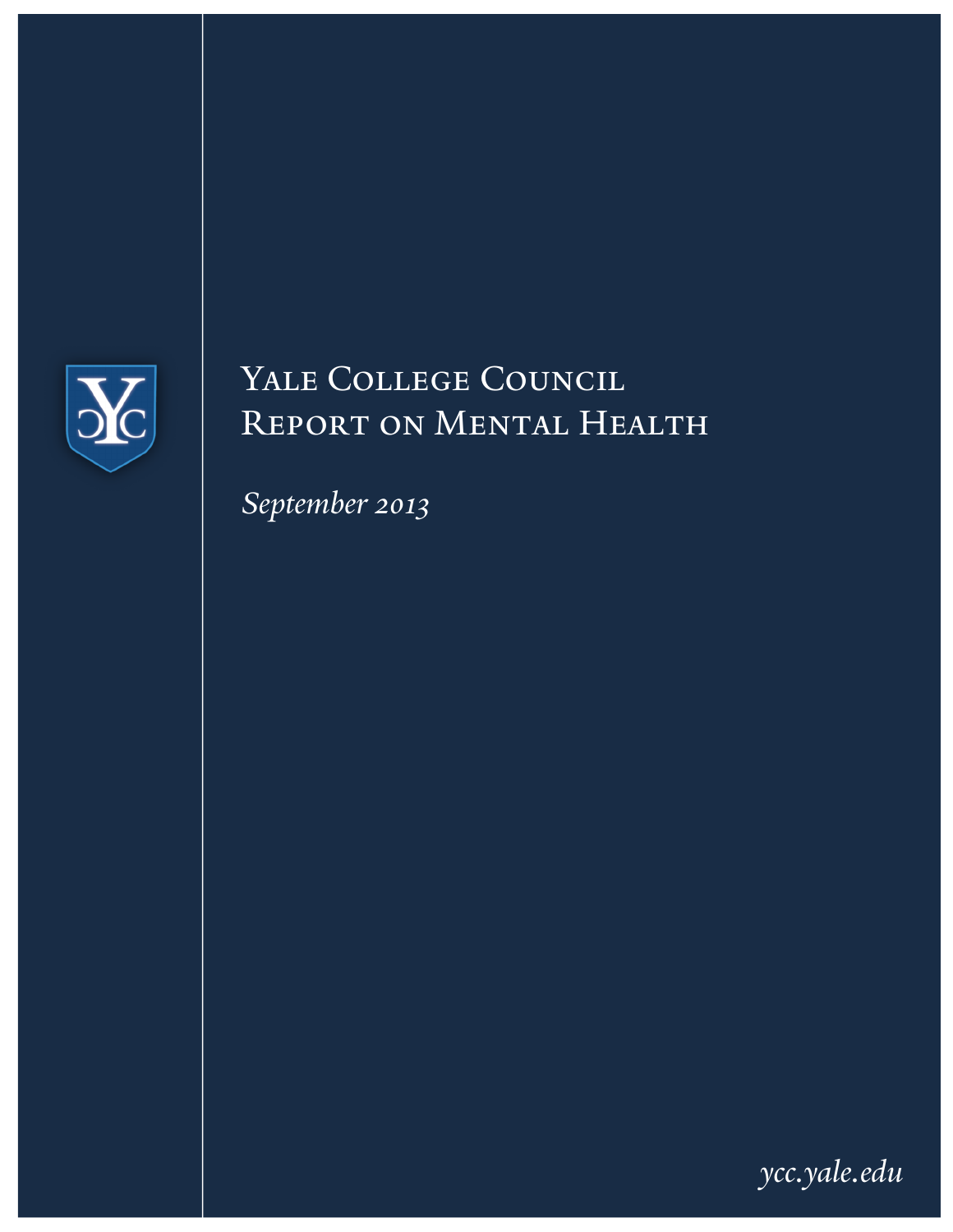

# YALE COLLEGE COUNCIL Report on Mental Health

*September 2013*

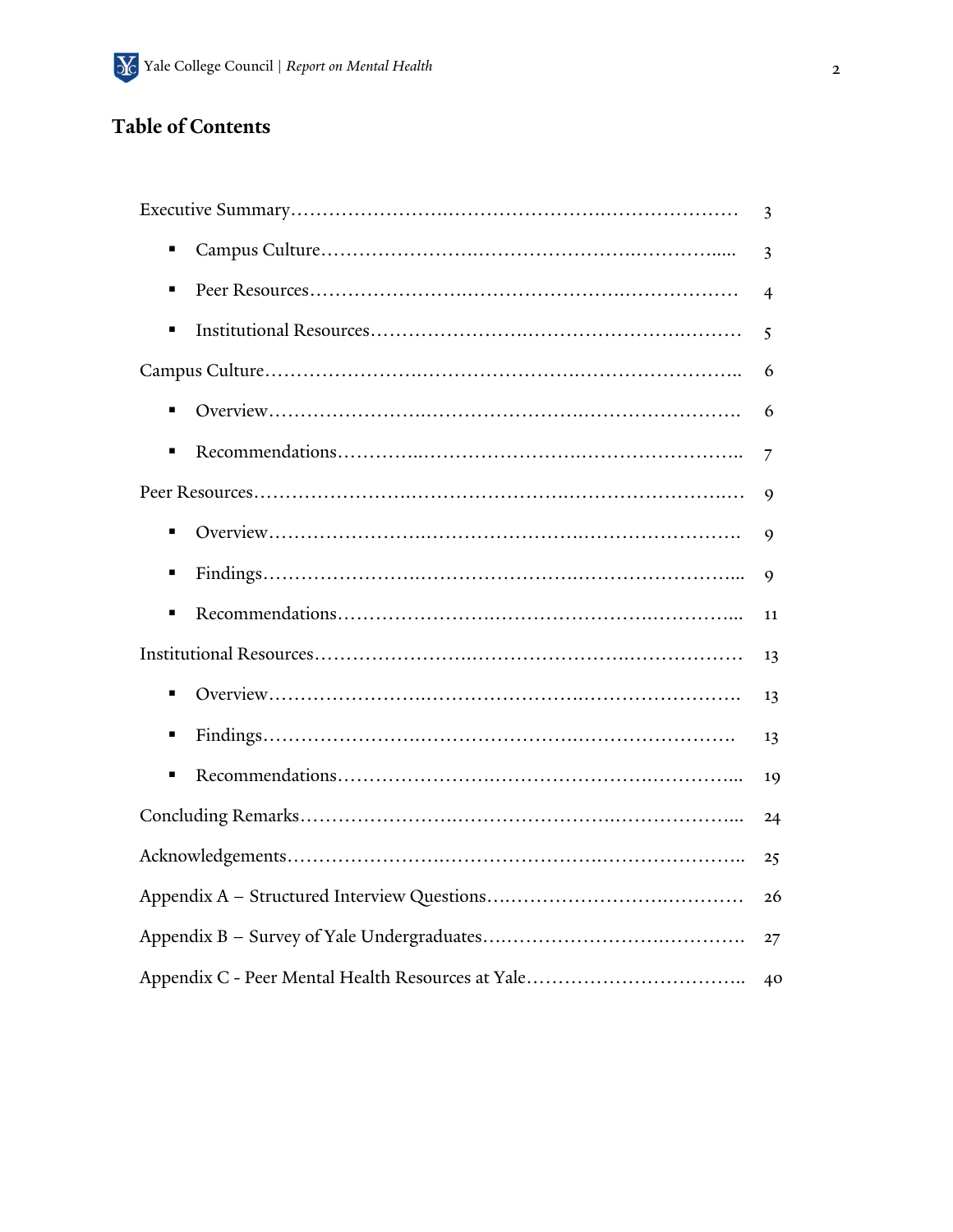## **Table of Contents**

|   | 3              |
|---|----------------|
| Ξ | 3              |
| ٠ | $\overline{4}$ |
| п | 5              |
|   | 6              |
| ٠ | 6              |
|   | 7              |
|   | 9              |
| ٠ | 9              |
| п | 9              |
| Е | 11             |
|   | 13             |
| ٠ | 13             |
| п | 13             |
| п | 19             |
|   | 24             |
|   | 25             |
|   | 26             |
|   | 27             |
|   | 40             |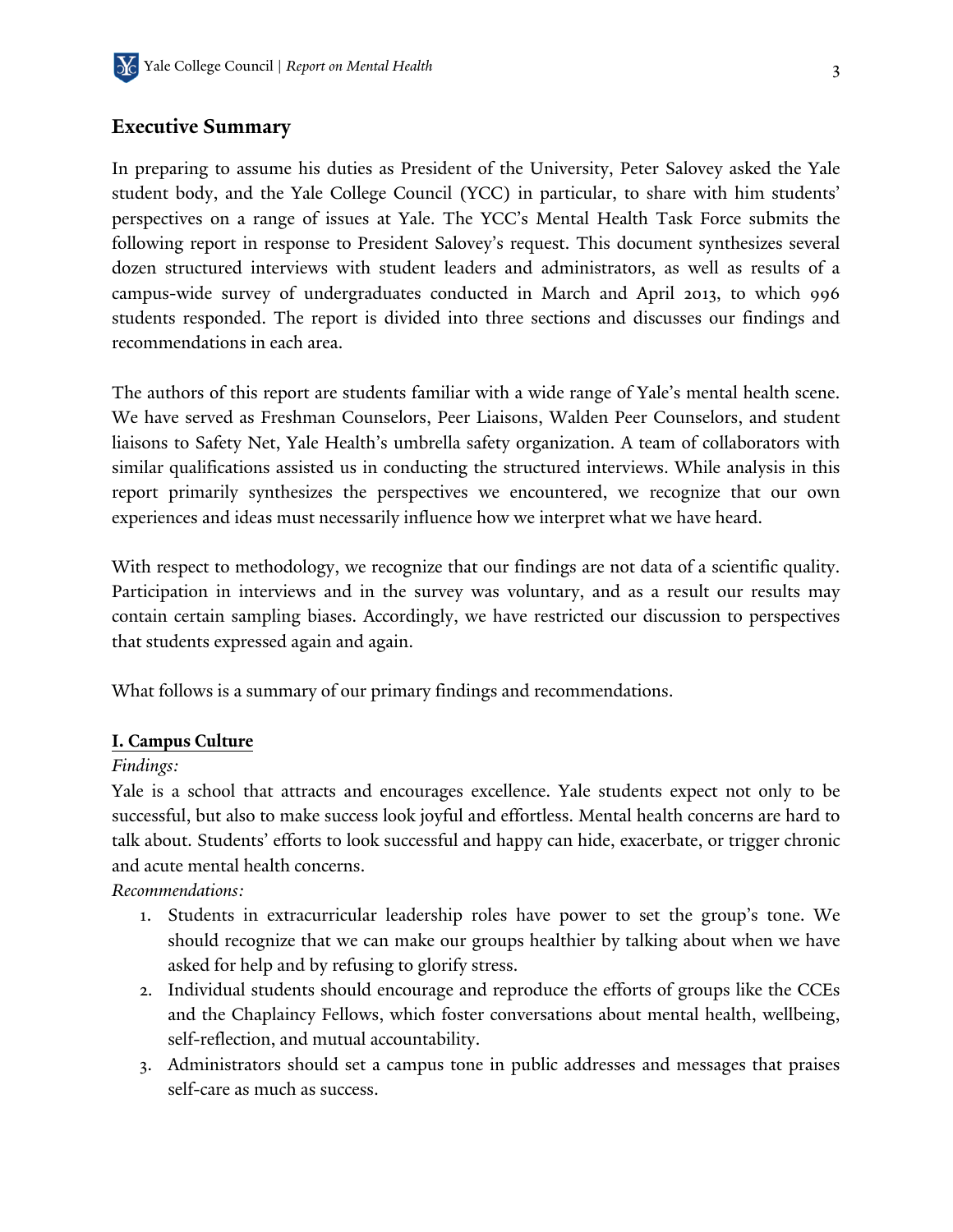### **Executive Summary**

In preparing to assume his duties as President of the University, Peter Salovey asked the Yale student body, and the Yale College Council (YCC) in particular, to share with him students' perspectives on a range of issues at Yale. The YCC's Mental Health Task Force submits the following report in response to President Salovey's request. This document synthesizes several dozen structured interviews with student leaders and administrators, as well as results of a campus-wide survey of undergraduates conducted in March and April 2013, to which 996 students responded. The report is divided into three sections and discusses our findings and recommendations in each area.

The authors of this report are students familiar with a wide range of Yale's mental health scene. We have served as Freshman Counselors, Peer Liaisons, Walden Peer Counselors, and student liaisons to Safety Net, Yale Health's umbrella safety organization. A team of collaborators with similar qualifications assisted us in conducting the structured interviews. While analysis in this report primarily synthesizes the perspectives we encountered, we recognize that our own experiences and ideas must necessarily influence how we interpret what we have heard.

With respect to methodology, we recognize that our findings are not data of a scientific quality. Participation in interviews and in the survey was voluntary, and as a result our results may contain certain sampling biases. Accordingly, we have restricted our discussion to perspectives that students expressed again and again.

What follows is a summary of our primary findings and recommendations.

#### **I. Campus Culture**

#### *Findings:*

Yale is a school that attracts and encourages excellence. Yale students expect not only to be successful, but also to make success look joyful and effortless. Mental health concerns are hard to talk about. Students' efforts to look successful and happy can hide, exacerbate, or trigger chronic and acute mental health concerns.

*Recommendations:*

- 1. Students in extracurricular leadership roles have power to set the group's tone. We should recognize that we can make our groups healthier by talking about when we have asked for help and by refusing to glorify stress.
- 2. Individual students should encourage and reproduce the efforts of groups like the CCEs and the Chaplaincy Fellows, which foster conversations about mental health, wellbeing, self-reflection, and mutual accountability.
- 3. Administrators should set a campus tone in public addresses and messages that praises self-care as much as success.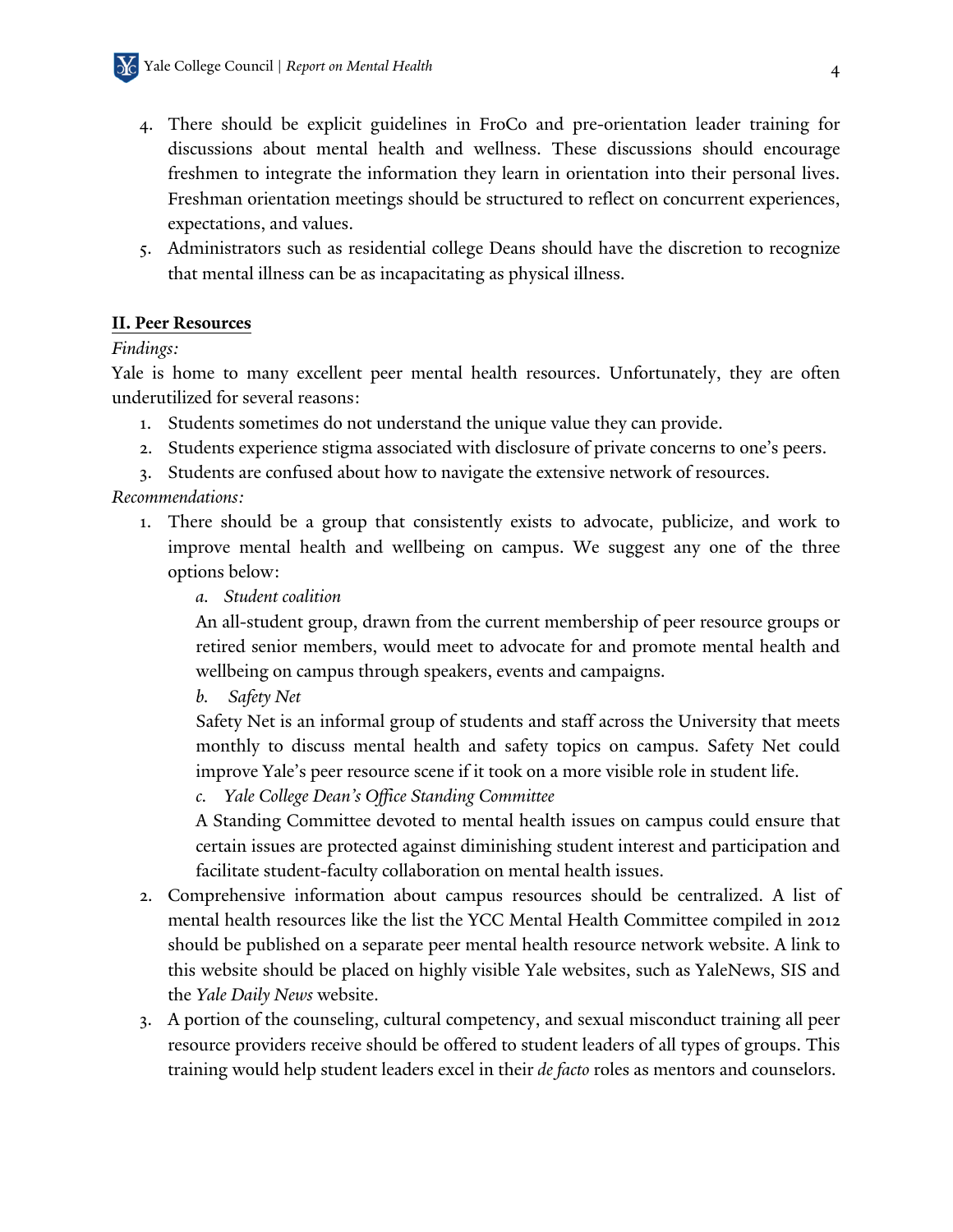- 4. There should be explicit guidelines in FroCo and pre-orientation leader training for discussions about mental health and wellness. These discussions should encourage freshmen to integrate the information they learn in orientation into their personal lives. Freshman orientation meetings should be structured to reflect on concurrent experiences, expectations, and values.
- 5. Administrators such as residential college Deans should have the discretion to recognize that mental illness can be as incapacitating as physical illness.

### **II. Peer Resources**

### *Findings:*

Yale is home to many excellent peer mental health resources. Unfortunately, they are often underutilized for several reasons:

- 1. Students sometimes do not understand the unique value they can provide.
- 2. Students experience stigma associated with disclosure of private concerns to one's peers.
- 3. Students are confused about how to navigate the extensive network of resources.

*Recommendations:*

- 1. There should be a group that consistently exists to advocate, publicize, and work to improve mental health and wellbeing on campus. We suggest any one of the three options below:
	- *a. Student coalition*

An all-student group, drawn from the current membership of peer resource groups or retired senior members, would meet to advocate for and promote mental health and wellbeing on campus through speakers, events and campaigns.

*b. Safety Net*

Safety Net is an informal group of students and staff across the University that meets monthly to discuss mental health and safety topics on campus. Safety Net could improve Yale's peer resource scene if it took on a more visible role in student life.

*c. Yale College Dean's Office Standing Committee*

A Standing Committee devoted to mental health issues on campus could ensure that certain issues are protected against diminishing student interest and participation and facilitate student-faculty collaboration on mental health issues.

- 2. Comprehensive information about campus resources should be centralized. A list of mental health resources like the list the YCC Mental Health Committee compiled in 2012 should be published on a separate peer mental health resource network website. A link to this website should be placed on highly visible Yale websites, such as YaleNews, SIS and the *Yale Daily News* website.
- 3. A portion of the counseling, cultural competency, and sexual misconduct training all peer resource providers receive should be offered to student leaders of all types of groups. This training would help student leaders excel in their *de facto* roles as mentors and counselors.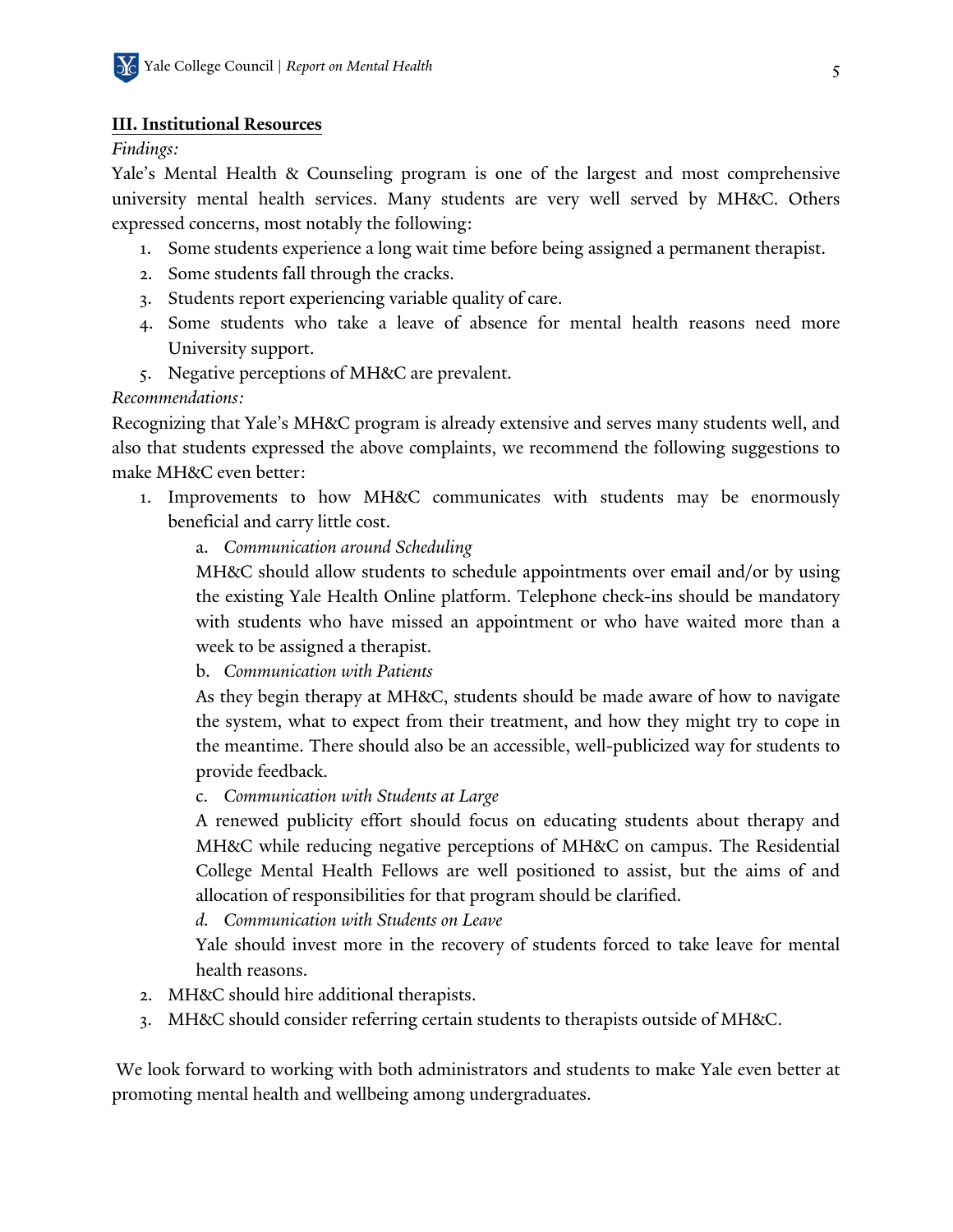### **III. Institutional Resources**

### *Findings:*

Yale's Mental Health & Counseling program is one of the largest and most comprehensive university mental health services. Many students are very well served by MH&C. Others expressed concerns, most notably the following:

- 1. Some students experience a long wait time before being assigned a permanent therapist.
- 2. Some students fall through the cracks.
- 3. Students report experiencing variable quality of care.
- 4. Some students who take a leave of absence for mental health reasons need more University support.
- 5. Negative perceptions of MH&C are prevalent.

### *Recommendations:*

Recognizing that Yale's MH&C program is already extensive and serves many students well, and also that students expressed the above complaints, we recommend the following suggestions to make MH&C even better:

- 1. Improvements to how MH&C communicates with students may be enormously beneficial and carry little cost.
	- a. *Communication around Scheduling*

MH&C should allow students to schedule appointments over email and/or by using the existing Yale Health Online platform. Telephone check-ins should be mandatory with students who have missed an appointment or who have waited more than a week to be assigned a therapist.

b. *Communication with Patients*

As they begin therapy at MH&C, students should be made aware of how to navigate the system, what to expect from their treatment, and how they might try to cope in the meantime. There should also be an accessible, well-publicized way for students to provide feedback.

c. *Communication with Students at Large*

A renewed publicity effort should focus on educating students about therapy and MH&C while reducing negative perceptions of MH&C on campus. The Residential College Mental Health Fellows are well positioned to assist, but the aims of and allocation of responsibilities for that program should be clarified.

*d. Communication with Students on Leave*

Yale should invest more in the recovery of students forced to take leave for mental health reasons.

- 2. MH&C should hire additional therapists.
- 3. MH&C should consider referring certain students to therapists outside of MH&C.

We look forward to working with both administrators and students to make Yale even better at promoting mental health and wellbeing among undergraduates.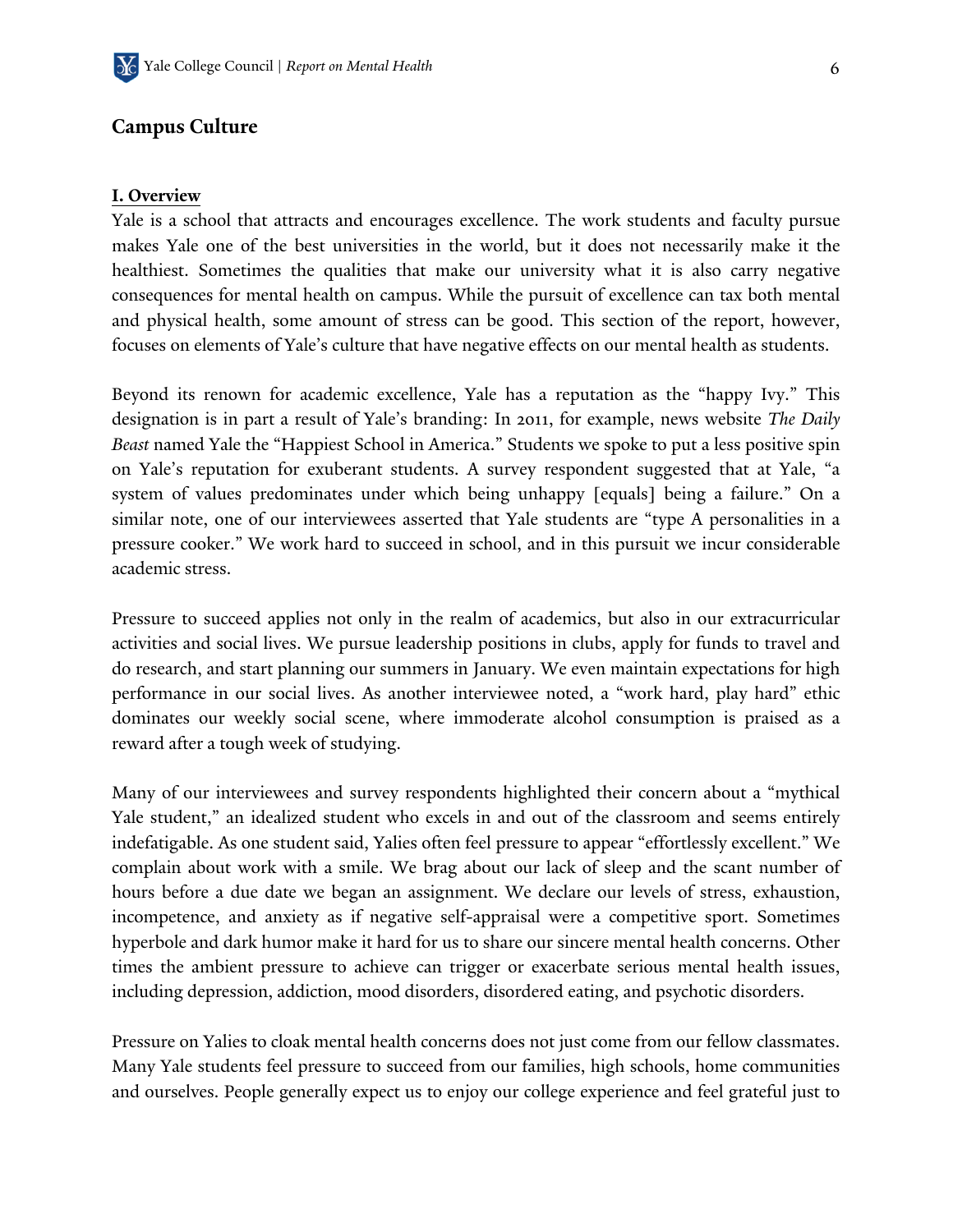### **Campus Culture**

#### **I. Overview**

Yale is a school that attracts and encourages excellence. The work students and faculty pursue makes Yale one of the best universities in the world, but it does not necessarily make it the healthiest. Sometimes the qualities that make our university what it is also carry negative consequences for mental health on campus. While the pursuit of excellence can tax both mental and physical health, some amount of stress can be good. This section of the report, however, focuses on elements of Yale's culture that have negative effects on our mental health as students.

Beyond its renown for academic excellence, Yale has a reputation as the "happy Ivy." This designation is in part a result of Yale's branding: In 2011, for example, news website *The Daily Beast* named Yale the "Happiest School in America." Students we spoke to put a less positive spin on Yale's reputation for exuberant students. A survey respondent suggested that at Yale, "a system of values predominates under which being unhappy [equals] being a failure." On a similar note, one of our interviewees asserted that Yale students are "type A personalities in a pressure cooker." We work hard to succeed in school, and in this pursuit we incur considerable academic stress.

Pressure to succeed applies not only in the realm of academics, but also in our extracurricular activities and social lives. We pursue leadership positions in clubs, apply for funds to travel and do research, and start planning our summers in January. We even maintain expectations for high performance in our social lives. As another interviewee noted, a "work hard, play hard" ethic dominates our weekly social scene, where immoderate alcohol consumption is praised as a reward after a tough week of studying.

Many of our interviewees and survey respondents highlighted their concern about a "mythical Yale student," an idealized student who excels in and out of the classroom and seems entirely indefatigable. As one student said, Yalies often feel pressure to appear "effortlessly excellent." We complain about work with a smile. We brag about our lack of sleep and the scant number of hours before a due date we began an assignment. We declare our levels of stress, exhaustion, incompetence, and anxiety as if negative self-appraisal were a competitive sport. Sometimes hyperbole and dark humor make it hard for us to share our sincere mental health concerns. Other times the ambient pressure to achieve can trigger or exacerbate serious mental health issues, including depression, addiction, mood disorders, disordered eating, and psychotic disorders.

Pressure on Yalies to cloak mental health concerns does not just come from our fellow classmates. Many Yale students feel pressure to succeed from our families, high schools, home communities and ourselves. People generally expect us to enjoy our college experience and feel grateful just to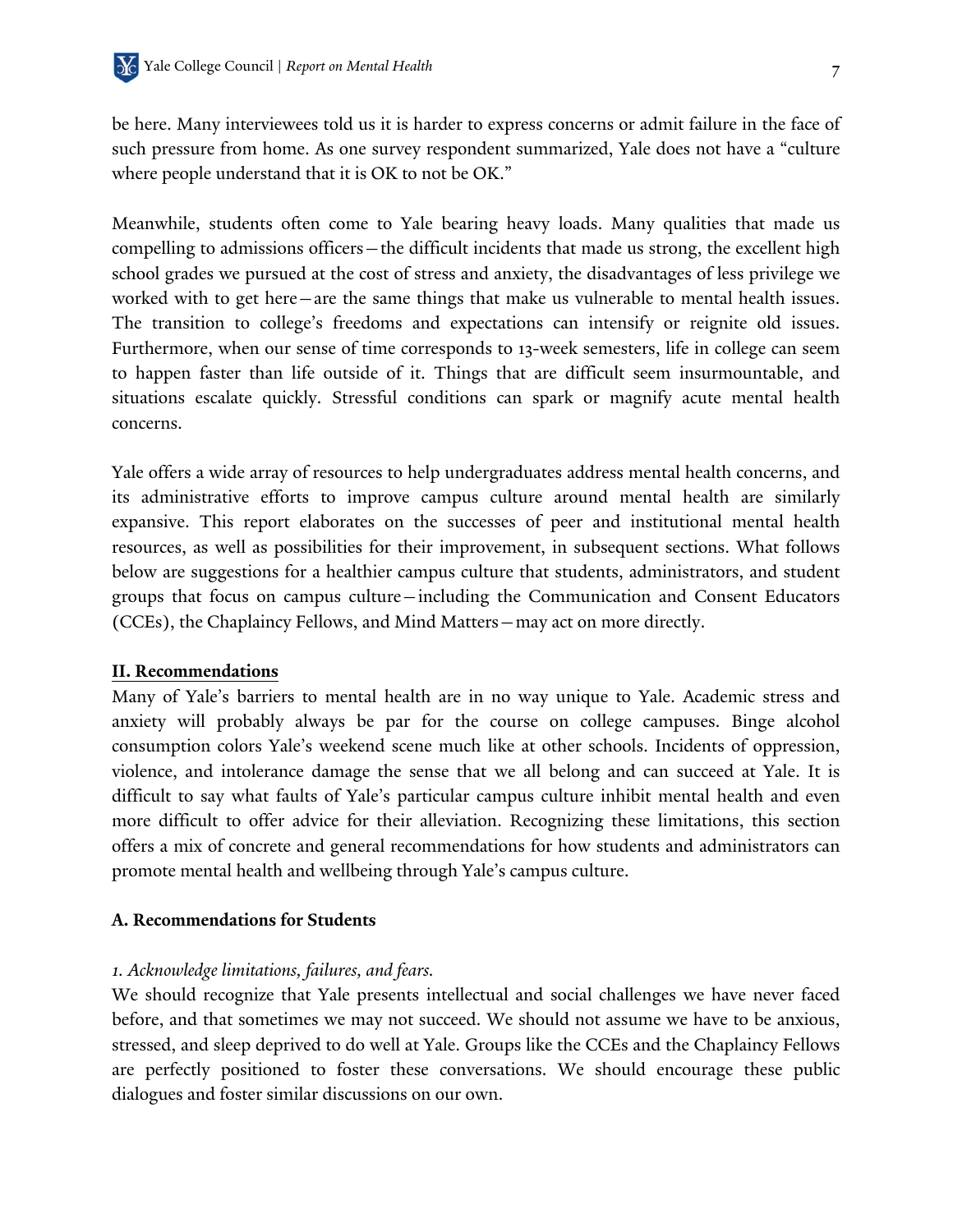be here. Many interviewees told us it is harder to express concerns or admit failure in the face of such pressure from home. As one survey respondent summarized, Yale does not have a "culture where people understand that it is OK to not be OK."

Meanwhile, students often come to Yale bearing heavy loads. Many qualities that made us compelling to admissions officers—the difficult incidents that made us strong, the excellent high school grades we pursued at the cost of stress and anxiety, the disadvantages of less privilege we worked with to get here—are the same things that make us vulnerable to mental health issues. The transition to college's freedoms and expectations can intensify or reignite old issues. Furthermore, when our sense of time corresponds to 13-week semesters, life in college can seem to happen faster than life outside of it. Things that are difficult seem insurmountable, and situations escalate quickly. Stressful conditions can spark or magnify acute mental health concerns.

Yale offers a wide array of resources to help undergraduates address mental health concerns, and its administrative efforts to improve campus culture around mental health are similarly expansive. This report elaborates on the successes of peer and institutional mental health resources, as well as possibilities for their improvement, in subsequent sections. What follows below are suggestions for a healthier campus culture that students, administrators, and student groups that focus on campus culture—including the Communication and Consent Educators (CCEs), the Chaplaincy Fellows, and Mind Matters—may act on more directly.

#### **II. Recommendations**

Many of Yale's barriers to mental health are in no way unique to Yale. Academic stress and anxiety will probably always be par for the course on college campuses. Binge alcohol consumption colors Yale's weekend scene much like at other schools. Incidents of oppression, violence, and intolerance damage the sense that we all belong and can succeed at Yale. It is difficult to say what faults of Yale's particular campus culture inhibit mental health and even more difficult to offer advice for their alleviation. Recognizing these limitations, this section offers a mix of concrete and general recommendations for how students and administrators can promote mental health and wellbeing through Yale's campus culture.

#### **A. Recommendations for Students**

#### *1. Acknowledge limitations, failures, and fears.*

We should recognize that Yale presents intellectual and social challenges we have never faced before, and that sometimes we may not succeed. We should not assume we have to be anxious, stressed, and sleep deprived to do well at Yale. Groups like the CCEs and the Chaplaincy Fellows are perfectly positioned to foster these conversations. We should encourage these public dialogues and foster similar discussions on our own.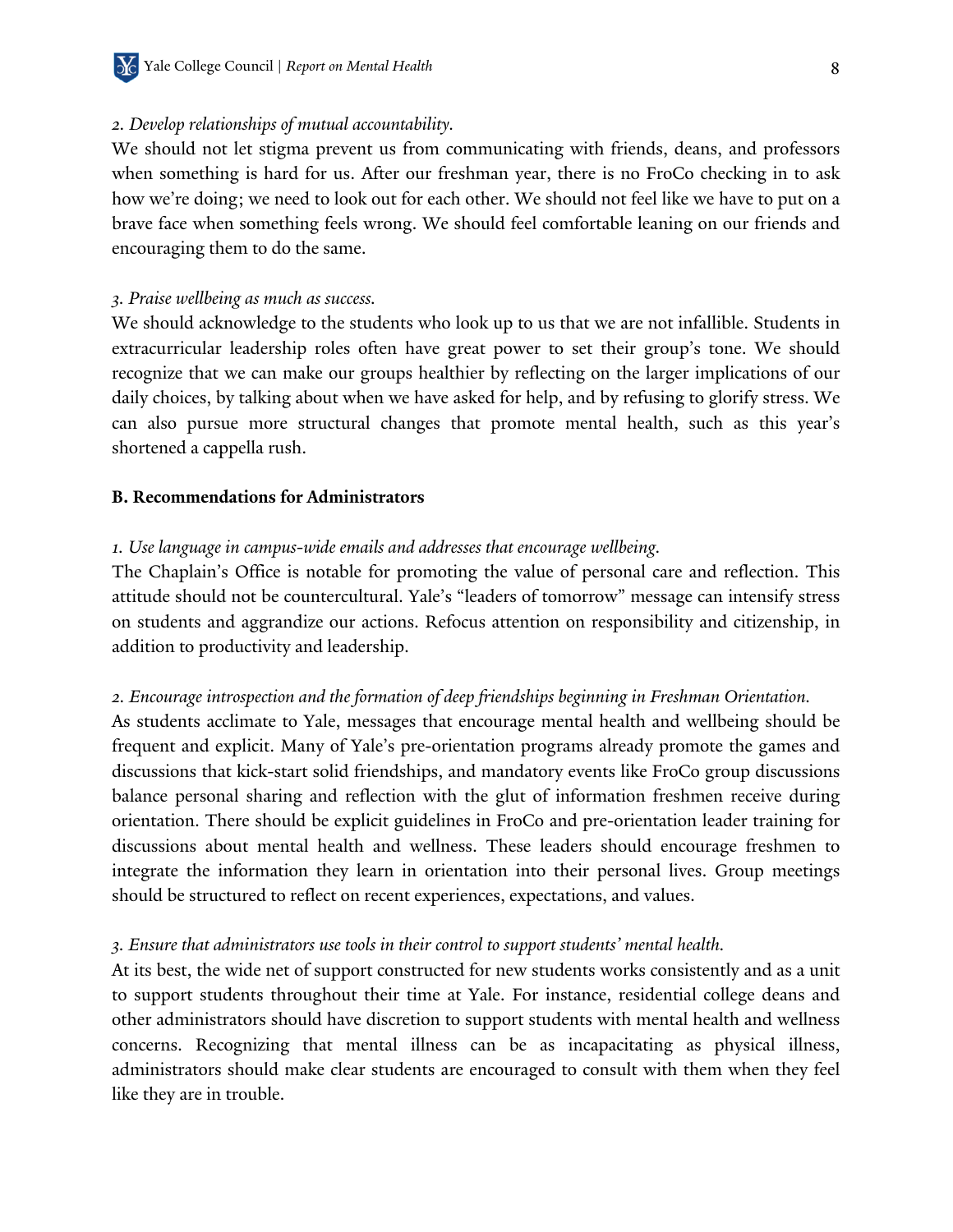#### *2. Develop relationships of mutual accountability.*

We should not let stigma prevent us from communicating with friends, deans, and professors when something is hard for us. After our freshman year, there is no FroCo checking in to ask how we're doing; we need to look out for each other. We should not feel like we have to put on a brave face when something feels wrong. We should feel comfortable leaning on our friends and encouraging them to do the same.

#### *3. Praise wellbeing as much as success.*

We should acknowledge to the students who look up to us that we are not infallible. Students in extracurricular leadership roles often have great power to set their group's tone. We should recognize that we can make our groups healthier by reflecting on the larger implications of our daily choices, by talking about when we have asked for help, and by refusing to glorify stress. We can also pursue more structural changes that promote mental health, such as this year's shortened a cappella rush.

#### **B. Recommendations for Administrators**

#### *1. Use language in campus-wide emails and addresses that encourage wellbeing.*

The Chaplain's Office is notable for promoting the value of personal care and reflection. This attitude should not be countercultural. Yale's "leaders of tomorrow" message can intensify stress on students and aggrandize our actions. Refocus attention on responsibility and citizenship, in addition to productivity and leadership.

#### *2. Encourage introspection and the formation of deep friendships beginning in Freshman Orientation.*

As students acclimate to Yale, messages that encourage mental health and wellbeing should be frequent and explicit. Many of Yale's pre-orientation programs already promote the games and discussions that kick-start solid friendships, and mandatory events like FroCo group discussions balance personal sharing and reflection with the glut of information freshmen receive during orientation. There should be explicit guidelines in FroCo and pre-orientation leader training for discussions about mental health and wellness. These leaders should encourage freshmen to integrate the information they learn in orientation into their personal lives. Group meetings should be structured to reflect on recent experiences, expectations, and values.

#### *3. Ensure that administrators use tools in their control to support students' mental health.*

At its best, the wide net of support constructed for new students works consistently and as a unit to support students throughout their time at Yale. For instance, residential college deans and other administrators should have discretion to support students with mental health and wellness concerns. Recognizing that mental illness can be as incapacitating as physical illness, administrators should make clear students are encouraged to consult with them when they feel like they are in trouble.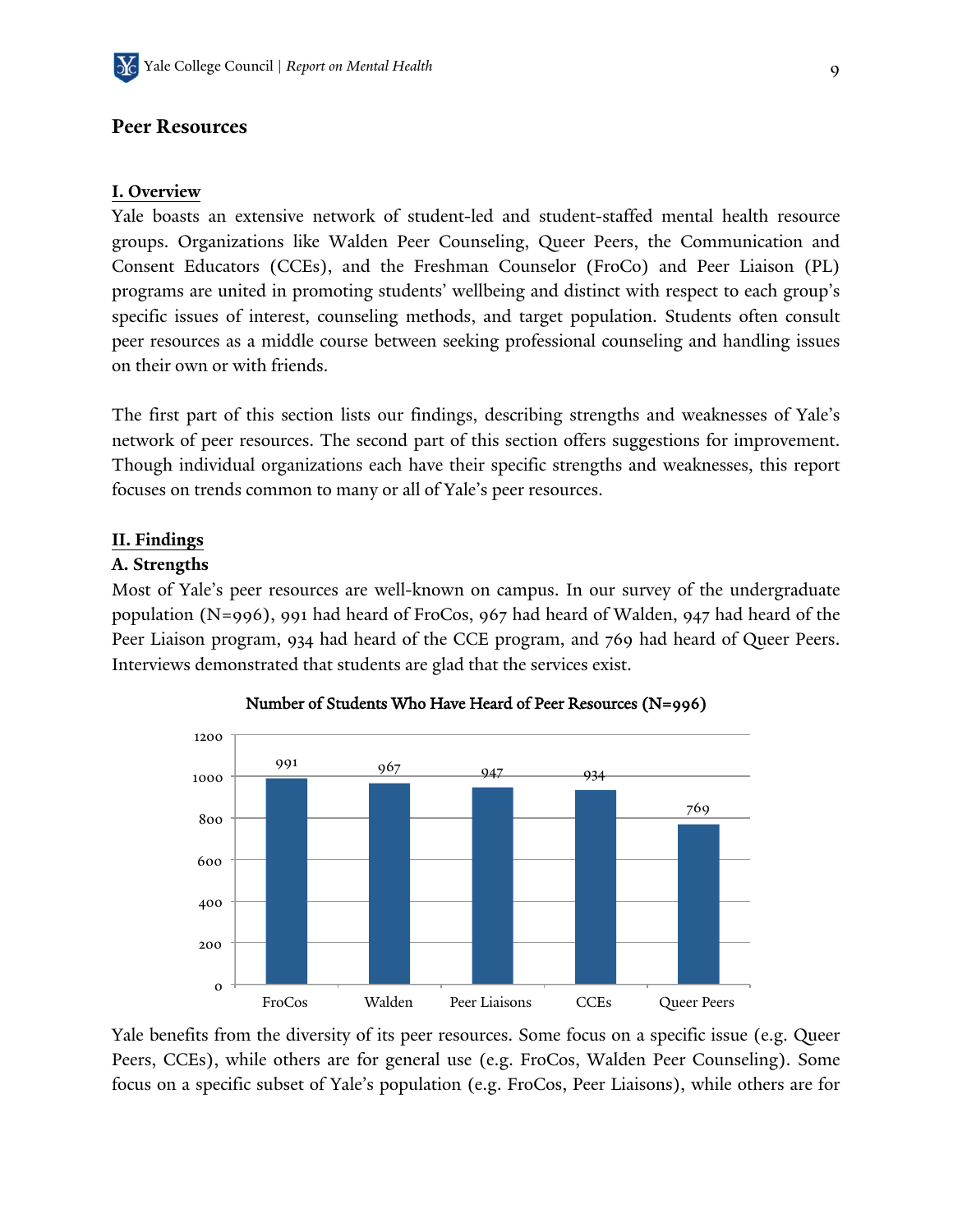### **Peer Resources**

#### **I. Overview**

Yale boasts an extensive network of student-led and student-staffed mental health resource groups. Organizations like Walden Peer Counseling, Queer Peers, the Communication and Consent Educators (CCEs), and the Freshman Counselor (FroCo) and Peer Liaison (PL) programs are united in promoting students' wellbeing and distinct with respect to each group's specific issues of interest, counseling methods, and target population. Students often consult peer resources as a middle course between seeking professional counseling and handling issues on their own or with friends.

The first part of this section lists our findings, describing strengths and weaknesses of Yale's network of peer resources. The second part of this section offers suggestions for improvement. Though individual organizations each have their specific strengths and weaknesses, this report focuses on trends common to many or all of Yale's peer resources.

#### **II. Findings**

#### **A. Strengths**

Most of Yale's peer resources are well-known on campus. In our survey of the undergraduate population (N=996), 991 had heard of FroCos, 967 had heard of Walden, 947 had heard of the Peer Liaison program, 934 had heard of the CCE program, and 769 had heard of Queer Peers. Interviews demonstrated that students are glad that the services exist.





Yale benefits from the diversity of its peer resources. Some focus on a specific issue (e.g. Queer Peers, CCEs), while others are for general use (e.g. FroCos, Walden Peer Counseling). Some focus on a specific subset of Yale's population (e.g. FroCos, Peer Liaisons), while others are for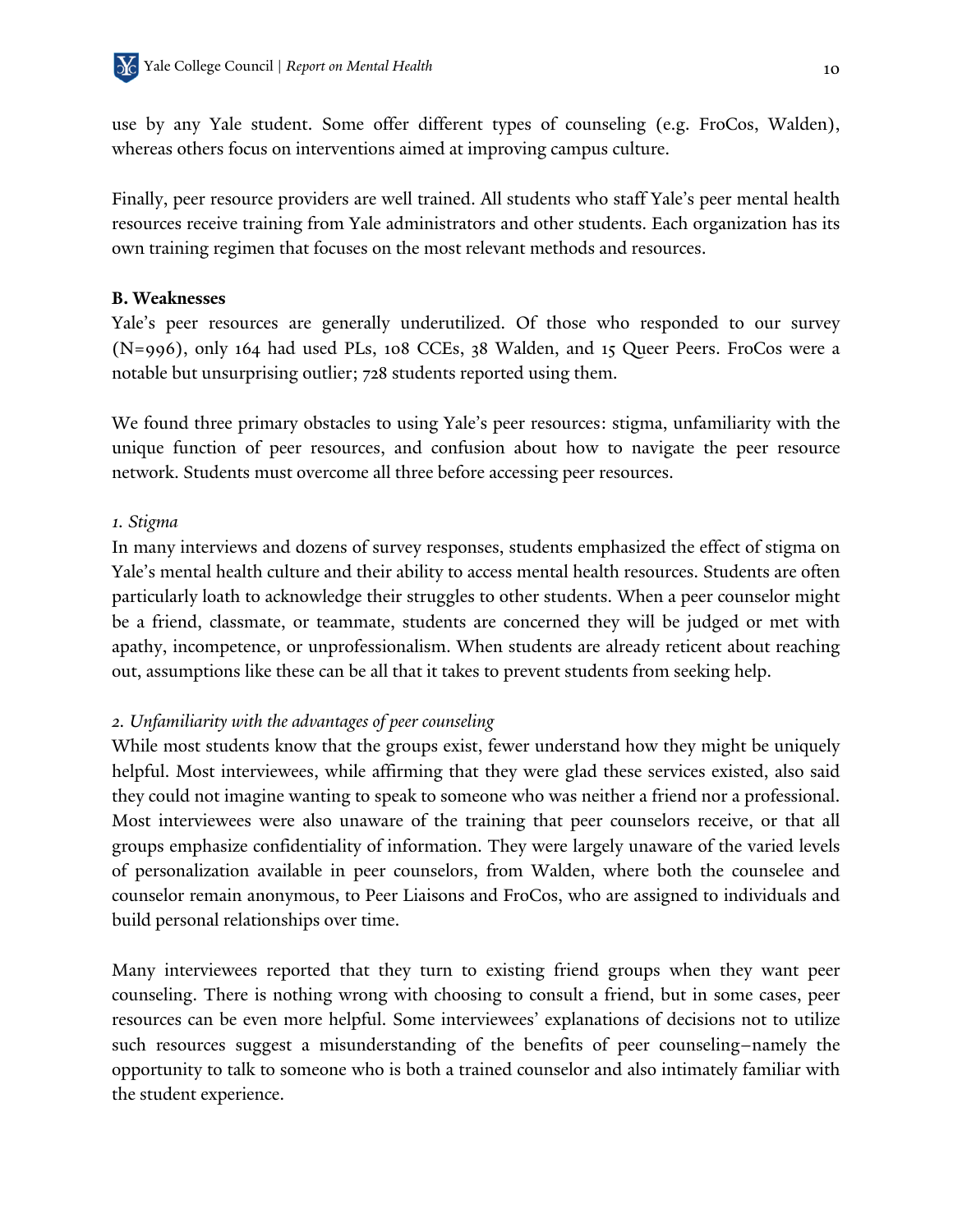use by any Yale student. Some offer different types of counseling (e.g. FroCos, Walden), whereas others focus on interventions aimed at improving campus culture.

Finally, peer resource providers are well trained. All students who staff Yale's peer mental health resources receive training from Yale administrators and other students. Each organization has its own training regimen that focuses on the most relevant methods and resources.

#### **B. Weaknesses**

Yale's peer resources are generally underutilized. Of those who responded to our survey (N=996), only 164 had used PLs, 108 CCEs, 38 Walden, and 15 Queer Peers. FroCos were a notable but unsurprising outlier; 728 students reported using them.

We found three primary obstacles to using Yale's peer resources: stigma, unfamiliarity with the unique function of peer resources, and confusion about how to navigate the peer resource network. Students must overcome all three before accessing peer resources.

#### *1. Stigma*

In many interviews and dozens of survey responses, students emphasized the effect of stigma on Yale's mental health culture and their ability to access mental health resources. Students are often particularly loath to acknowledge their struggles to other students. When a peer counselor might be a friend, classmate, or teammate, students are concerned they will be judged or met with apathy, incompetence, or unprofessionalism. When students are already reticent about reaching out, assumptions like these can be all that it takes to prevent students from seeking help.

#### *2. Unfamiliarity with the advantages of peer counseling*

While most students know that the groups exist, fewer understand how they might be uniquely helpful. Most interviewees, while affirming that they were glad these services existed, also said they could not imagine wanting to speak to someone who was neither a friend nor a professional. Most interviewees were also unaware of the training that peer counselors receive, or that all groups emphasize confidentiality of information. They were largely unaware of the varied levels of personalization available in peer counselors, from Walden, where both the counselee and counselor remain anonymous, to Peer Liaisons and FroCos, who are assigned to individuals and build personal relationships over time.

Many interviewees reported that they turn to existing friend groups when they want peer counseling. There is nothing wrong with choosing to consult a friend, but in some cases, peer resources can be even more helpful. Some interviewees' explanations of decisions not to utilize such resources suggest a misunderstanding of the benefits of peer counseling–namely the opportunity to talk to someone who is both a trained counselor and also intimately familiar with the student experience.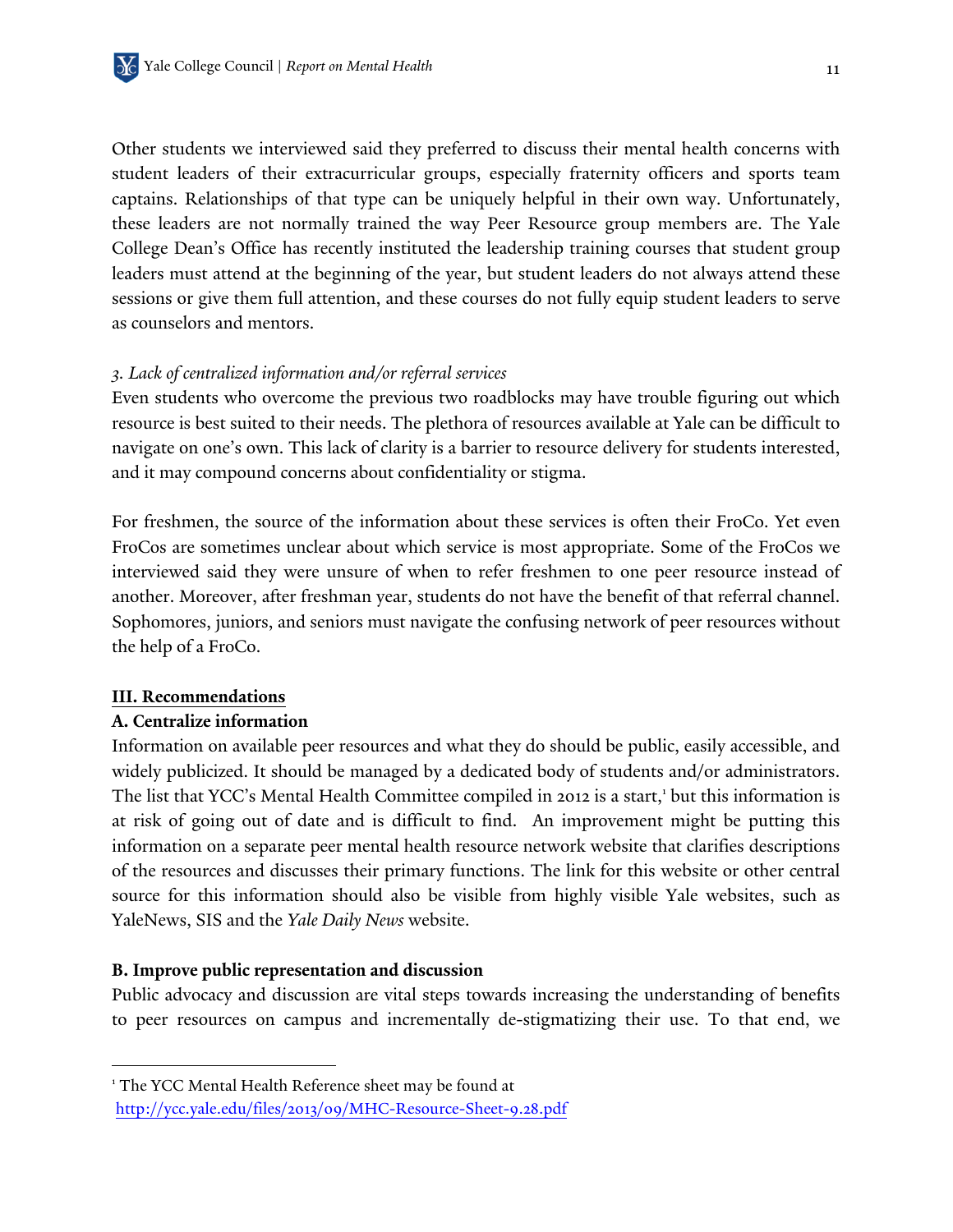Other students we interviewed said they preferred to discuss their mental health concerns with student leaders of their extracurricular groups, especially fraternity officers and sports team captains. Relationships of that type can be uniquely helpful in their own way. Unfortunately, these leaders are not normally trained the way Peer Resource group members are. The Yale College Dean's Office has recently instituted the leadership training courses that student group leaders must attend at the beginning of the year, but student leaders do not always attend these sessions or give them full attention, and these courses do not fully equip student leaders to serve as counselors and mentors.

### *3. Lack of centralized information and/or referral services*

Even students who overcome the previous two roadblocks may have trouble figuring out which resource is best suited to their needs. The plethora of resources available at Yale can be difficult to navigate on one's own. This lack of clarity is a barrier to resource delivery for students interested, and it may compound concerns about confidentiality or stigma.

For freshmen, the source of the information about these services is often their FroCo. Yet even FroCos are sometimes unclear about which service is most appropriate. Some of the FroCos we interviewed said they were unsure of when to refer freshmen to one peer resource instead of another. Moreover, after freshman year, students do not have the benefit of that referral channel. Sophomores, juniors, and seniors must navigate the confusing network of peer resources without the help of a FroCo.

#### **III. Recommendations**

 $\overline{a}$ 

#### **A. Centralize information**

Information on available peer resources and what they do should be public, easily accessible, and widely publicized. It should be managed by a dedicated body of students and/or administrators. The list that YCC's Mental Health Committee compiled in 2012 is a start,<sup>1</sup> but this information is at risk of going out of date and is difficult to find. An improvement might be putting this information on a separate peer mental health resource network website that clarifies descriptions of the resources and discusses their primary functions. The link for this website or other central source for this information should also be visible from highly visible Yale websites, such as YaleNews, SIS and the *Yale Daily News* website.

#### **B. Improve public representation and discussion**

Public advocacy and discussion are vital steps towards increasing the understanding of benefits to peer resources on campus and incrementally de-stigmatizing their use. To that end, we

<sup>1</sup> The YCC Mental Health Reference sheet may be found at http://ycc.yale.edu/files/2013/09/MHC-Resource-Sheet-9.28.pdf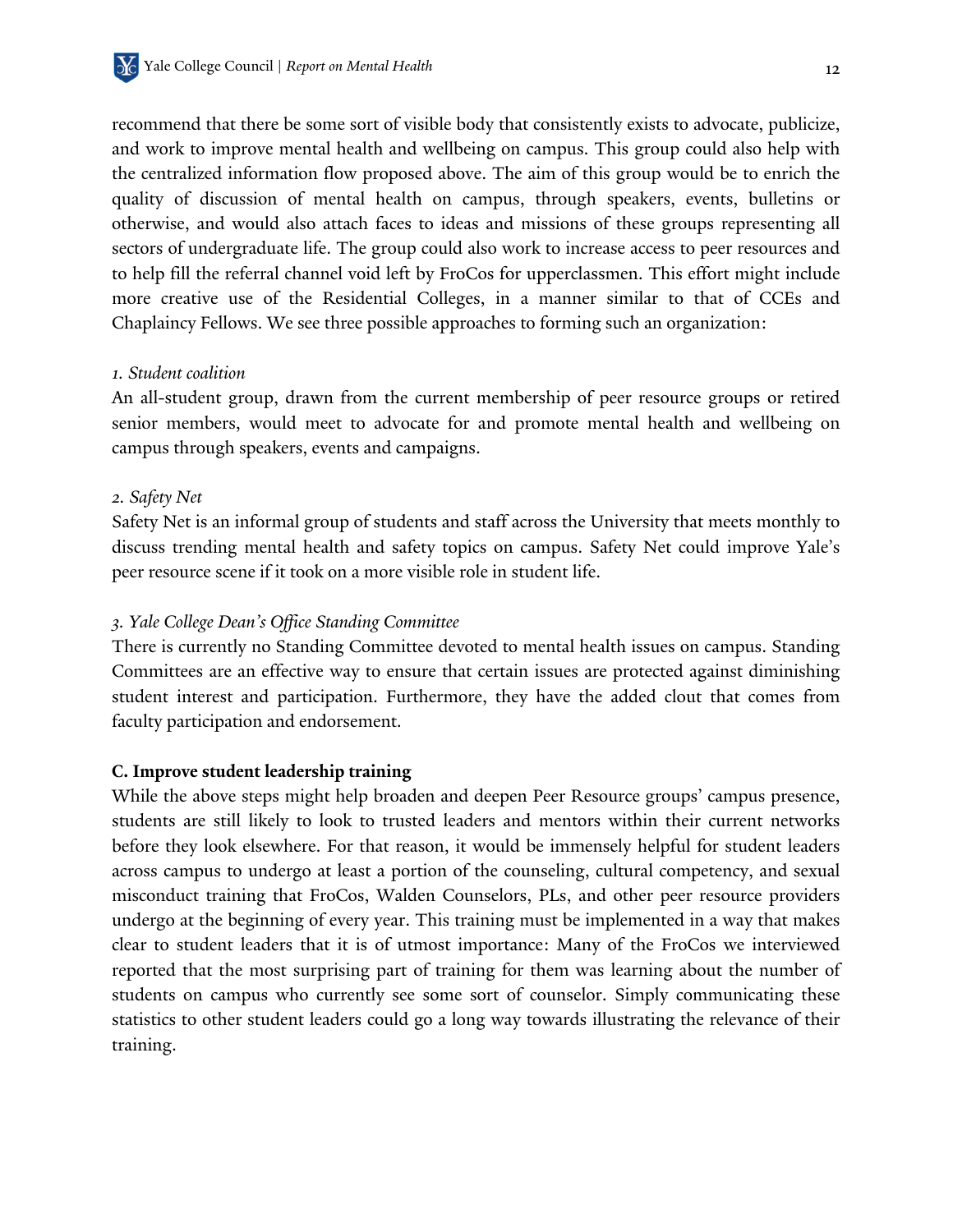recommend that there be some sort of visible body that consistently exists to advocate, publicize, and work to improve mental health and wellbeing on campus. This group could also help with the centralized information flow proposed above. The aim of this group would be to enrich the quality of discussion of mental health on campus, through speakers, events, bulletins or otherwise, and would also attach faces to ideas and missions of these groups representing all sectors of undergraduate life. The group could also work to increase access to peer resources and to help fill the referral channel void left by FroCos for upperclassmen. This effort might include more creative use of the Residential Colleges, in a manner similar to that of CCEs and Chaplaincy Fellows. We see three possible approaches to forming such an organization:

#### *1. Student coalition*

An all-student group, drawn from the current membership of peer resource groups or retired senior members, would meet to advocate for and promote mental health and wellbeing on campus through speakers, events and campaigns.

#### *2. Safety Net*

Safety Net is an informal group of students and staff across the University that meets monthly to discuss trending mental health and safety topics on campus. Safety Net could improve Yale's peer resource scene if it took on a more visible role in student life.

#### *3. Yale College Dean's Office Standing Committee*

There is currently no Standing Committee devoted to mental health issues on campus. Standing Committees are an effective way to ensure that certain issues are protected against diminishing student interest and participation. Furthermore, they have the added clout that comes from faculty participation and endorsement.

#### **C. Improve student leadership training**

While the above steps might help broaden and deepen Peer Resource groups' campus presence, students are still likely to look to trusted leaders and mentors within their current networks before they look elsewhere. For that reason, it would be immensely helpful for student leaders across campus to undergo at least a portion of the counseling, cultural competency, and sexual misconduct training that FroCos, Walden Counselors, PLs, and other peer resource providers undergo at the beginning of every year. This training must be implemented in a way that makes clear to student leaders that it is of utmost importance: Many of the FroCos we interviewed reported that the most surprising part of training for them was learning about the number of students on campus who currently see some sort of counselor. Simply communicating these statistics to other student leaders could go a long way towards illustrating the relevance of their training.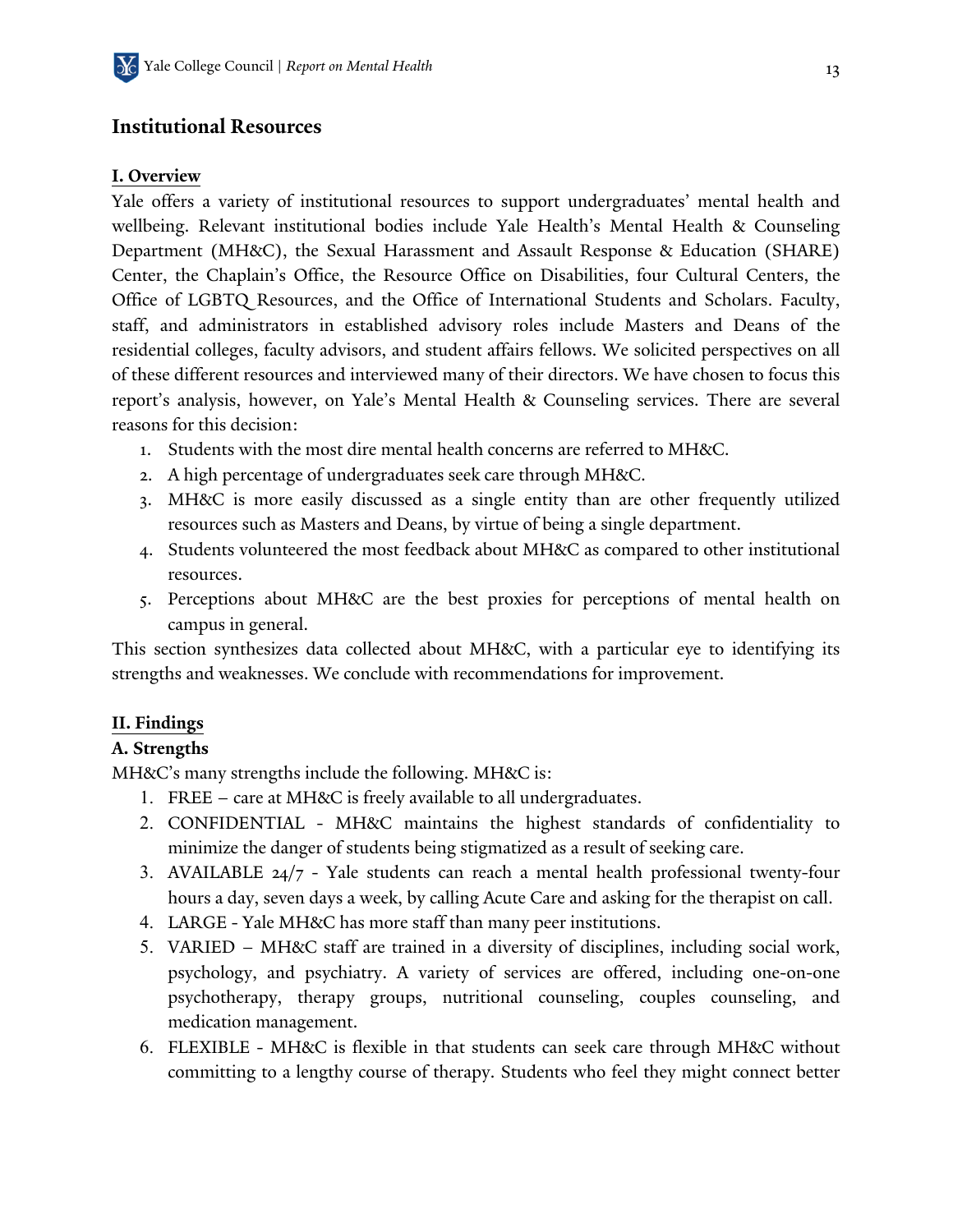## **Institutional Resources**

### **I. Overview**

Yale offers a variety of institutional resources to support undergraduates' mental health and wellbeing. Relevant institutional bodies include Yale Health's Mental Health & Counseling Department (MH&C), the Sexual Harassment and Assault Response & Education (SHARE) Center, the Chaplain's Office, the Resource Office on Disabilities, four Cultural Centers, the Office of LGBTQ Resources, and the Office of International Students and Scholars. Faculty, staff, and administrators in established advisory roles include Masters and Deans of the residential colleges, faculty advisors, and student affairs fellows. We solicited perspectives on all of these different resources and interviewed many of their directors. We have chosen to focus this report's analysis, however, on Yale's Mental Health & Counseling services. There are several reasons for this decision:

- 1. Students with the most dire mental health concerns are referred to MH&C.
- 2. A high percentage of undergraduates seek care through MH&C.
- 3. MH&C is more easily discussed as a single entity than are other frequently utilized resources such as Masters and Deans, by virtue of being a single department.
- 4. Students volunteered the most feedback about MH&C as compared to other institutional resources.
- 5. Perceptions about MH&C are the best proxies for perceptions of mental health on campus in general.

This section synthesizes data collected about MH&C, with a particular eye to identifying its strengths and weaknesses. We conclude with recommendations for improvement.

### **II. Findings**

### **A. Strengths**

MH&C's many strengths include the following. MH&C is:

- 1. FREE care at MH&C is freely available to all undergraduates.
- 2. CONFIDENTIAL MH&C maintains the highest standards of confidentiality to minimize the danger of students being stigmatized as a result of seeking care.
- 3. AVAILABLE 24/7 Yale students can reach a mental health professional twenty-four hours a day, seven days a week, by calling Acute Care and asking for the therapist on call.
- 4. LARGE Yale MH&C has more staff than many peer institutions.
- 5. VARIED MH&C staff are trained in a diversity of disciplines, including social work, psychology, and psychiatry. A variety of services are offered, including one-on-one psychotherapy, therapy groups, nutritional counseling, couples counseling, and medication management.
- 6. FLEXIBLE MH&C is flexible in that students can seek care through MH&C without committing to a lengthy course of therapy. Students who feel they might connect better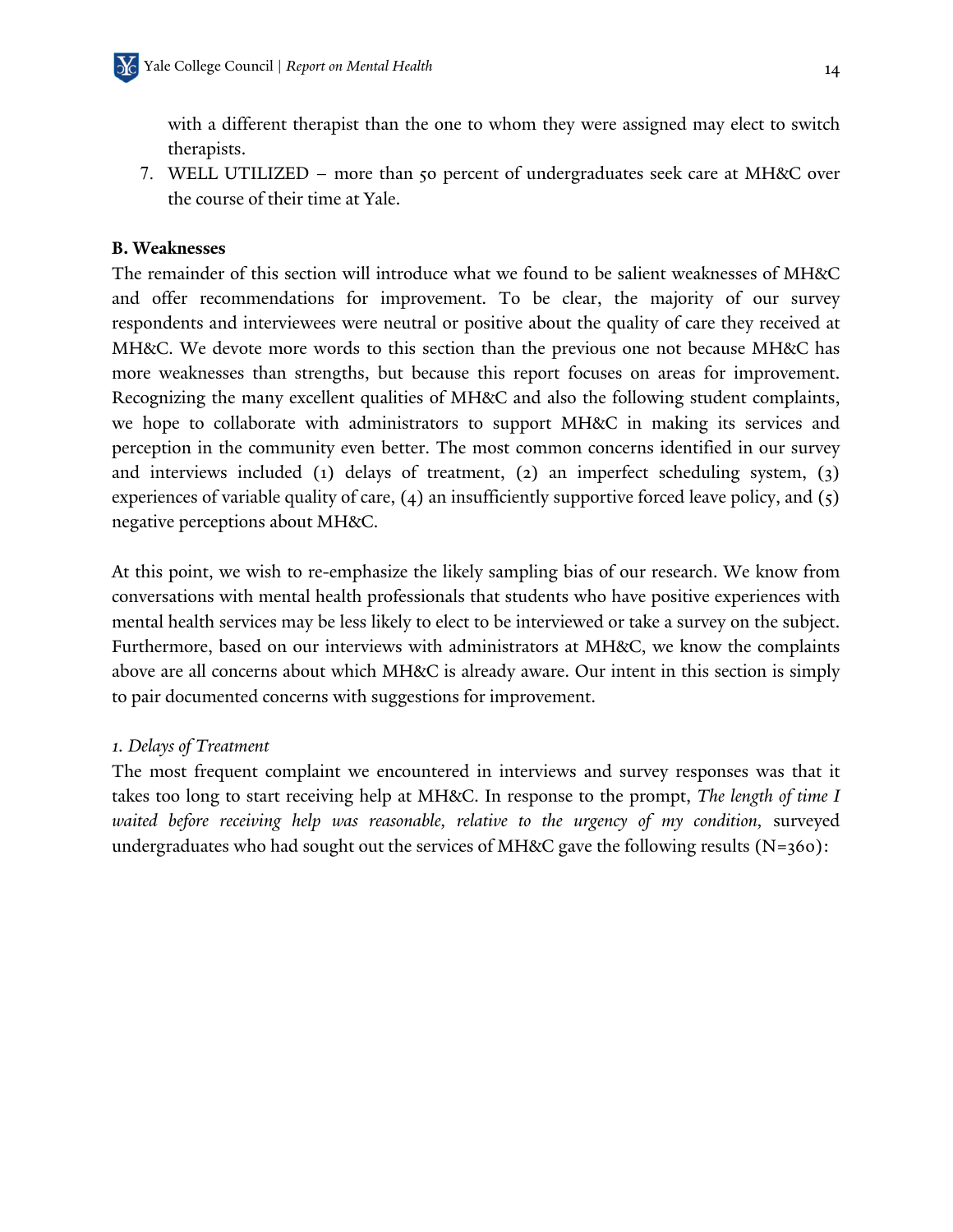with a different therapist than the one to whom they were assigned may elect to switch therapists.

7. WELL UTILIZED – more than 50 percent of undergraduates seek care at MH&C over the course of their time at Yale.

#### **B. Weaknesses**

The remainder of this section will introduce what we found to be salient weaknesses of MH&C and offer recommendations for improvement. To be clear, the majority of our survey respondents and interviewees were neutral or positive about the quality of care they received at MH&C. We devote more words to this section than the previous one not because MH&C has more weaknesses than strengths, but because this report focuses on areas for improvement. Recognizing the many excellent qualities of MH&C and also the following student complaints, we hope to collaborate with administrators to support MH&C in making its services and perception in the community even better. The most common concerns identified in our survey and interviews included (1) delays of treatment, (2) an imperfect scheduling system, (3) experiences of variable quality of care, (4) an insufficiently supportive forced leave policy, and (5) negative perceptions about MH&C.

At this point, we wish to re-emphasize the likely sampling bias of our research. We know from conversations with mental health professionals that students who have positive experiences with mental health services may be less likely to elect to be interviewed or take a survey on the subject. Furthermore, based on our interviews with administrators at MH&C, we know the complaints above are all concerns about which MH&C is already aware. Our intent in this section is simply to pair documented concerns with suggestions for improvement.

#### *1. Delays of Treatment*

The most frequent complaint we encountered in interviews and survey responses was that it takes too long to start receiving help at MH&C. In response to the prompt, *The length of time I waited before receiving help was reasonable, relative to the urgency of my condition, surveyed* undergraduates who had sought out the services of MH&C gave the following results (N=360):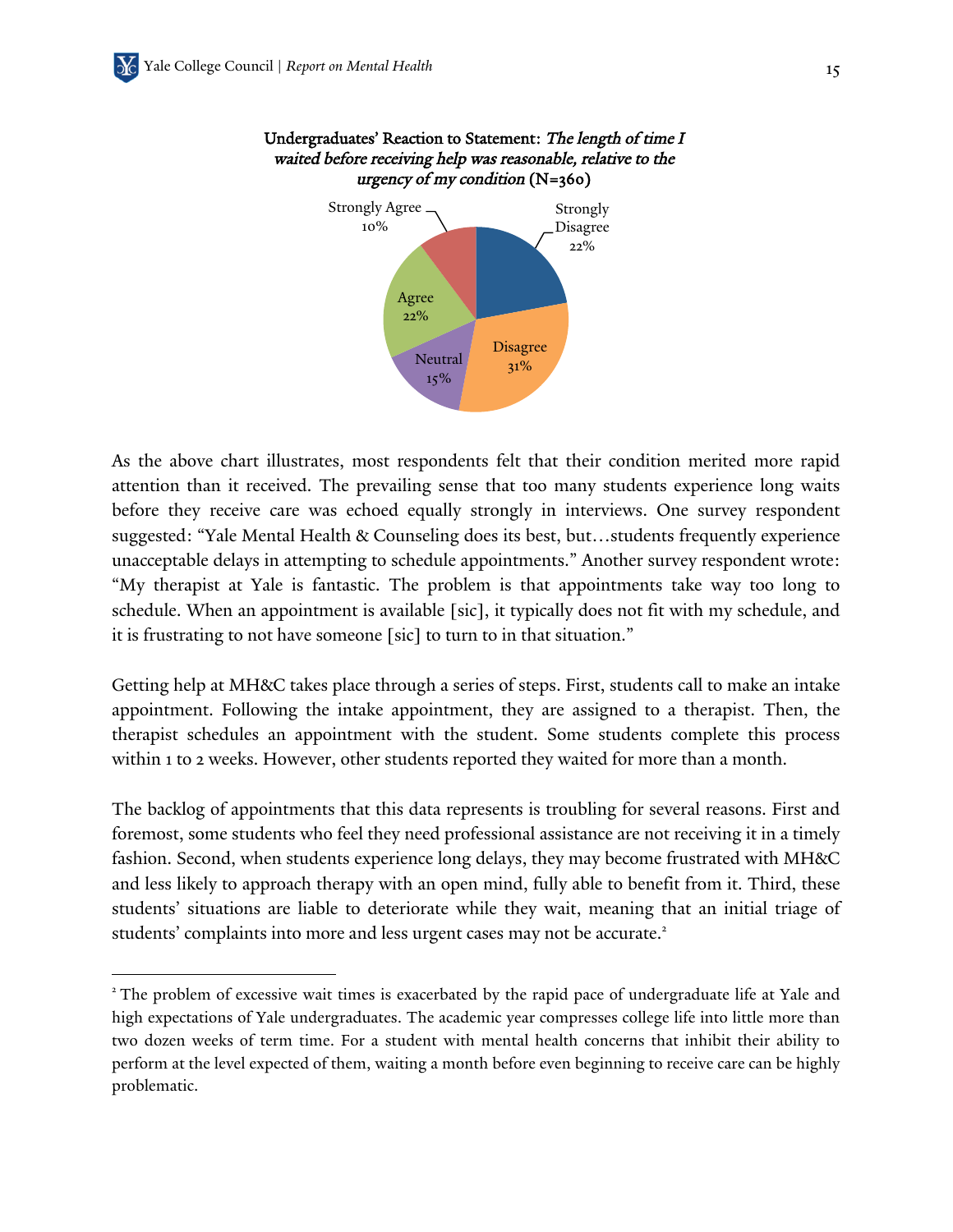$\overline{a}$ 



#### Undergraduates' Reaction to Statement: The length of time I waited before receiving help was reasonable, relative to the urgency of my condition  $(N=360)$

As the above chart illustrates, most respondents felt that their condition merited more rapid attention than it received. The prevailing sense that too many students experience long waits before they receive care was echoed equally strongly in interviews. One survey respondent suggested: "Yale Mental Health & Counseling does its best, but…students frequently experience unacceptable delays in attempting to schedule appointments." Another survey respondent wrote: "My therapist at Yale is fantastic. The problem is that appointments take way too long to schedule. When an appointment is available [sic], it typically does not fit with my schedule, and it is frustrating to not have someone [sic] to turn to in that situation."

Getting help at MH&C takes place through a series of steps. First, students call to make an intake appointment. Following the intake appointment, they are assigned to a therapist. Then, the therapist schedules an appointment with the student. Some students complete this process within 1 to 2 weeks. However, other students reported they waited for more than a month.

The backlog of appointments that this data represents is troubling for several reasons. First and foremost, some students who feel they need professional assistance are not receiving it in a timely fashion. Second, when students experience long delays, they may become frustrated with MH&C and less likely to approach therapy with an open mind, fully able to benefit from it. Third, these students' situations are liable to deteriorate while they wait, meaning that an initial triage of students' complaints into more and less urgent cases may not be accurate.<sup>2</sup>

<sup>&</sup>lt;sup>2</sup> The problem of excessive wait times is exacerbated by the rapid pace of undergraduate life at Yale and high expectations of Yale undergraduates. The academic year compresses college life into little more than two dozen weeks of term time. For a student with mental health concerns that inhibit their ability to perform at the level expected of them, waiting a month before even beginning to receive care can be highly problematic.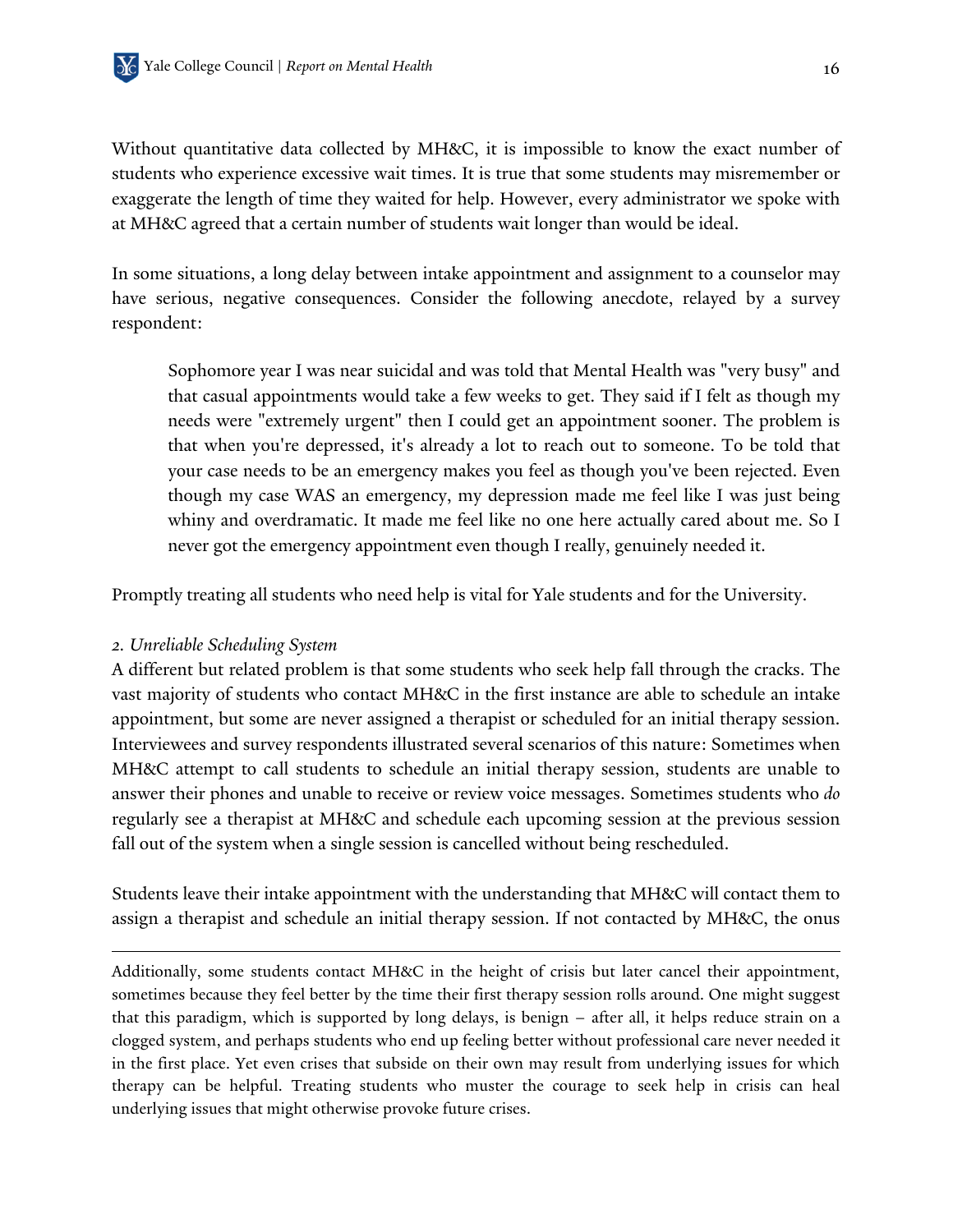Without quantitative data collected by MH&C, it is impossible to know the exact number of students who experience excessive wait times. It is true that some students may misremember or exaggerate the length of time they waited for help. However, every administrator we spoke with at MH&C agreed that a certain number of students wait longer than would be ideal.

In some situations, a long delay between intake appointment and assignment to a counselor may have serious, negative consequences. Consider the following anecdote, relayed by a survey respondent:

Sophomore year I was near suicidal and was told that Mental Health was "very busy" and that casual appointments would take a few weeks to get. They said if I felt as though my needs were "extremely urgent" then I could get an appointment sooner. The problem is that when you're depressed, it's already a lot to reach out to someone. To be told that your case needs to be an emergency makes you feel as though you've been rejected. Even though my case WAS an emergency, my depression made me feel like I was just being whiny and overdramatic. It made me feel like no one here actually cared about me. So I never got the emergency appointment even though I really, genuinely needed it.

Promptly treating all students who need help is vital for Yale students and for the University.

#### *2. Unreliable Scheduling System*

1

A different but related problem is that some students who seek help fall through the cracks. The vast majority of students who contact MH&C in the first instance are able to schedule an intake appointment, but some are never assigned a therapist or scheduled for an initial therapy session. Interviewees and survey respondents illustrated several scenarios of this nature: Sometimes when MH&C attempt to call students to schedule an initial therapy session, students are unable to answer their phones and unable to receive or review voice messages. Sometimes students who *do* regularly see a therapist at MH&C and schedule each upcoming session at the previous session fall out of the system when a single session is cancelled without being rescheduled.

Students leave their intake appointment with the understanding that MH&C will contact them to assign a therapist and schedule an initial therapy session. If not contacted by MH&C, the onus

Additionally, some students contact MH&C in the height of crisis but later cancel their appointment, sometimes because they feel better by the time their first therapy session rolls around. One might suggest that this paradigm, which is supported by long delays, is benign – after all, it helps reduce strain on a clogged system, and perhaps students who end up feeling better without professional care never needed it in the first place. Yet even crises that subside on their own may result from underlying issues for which therapy can be helpful. Treating students who muster the courage to seek help in crisis can heal underlying issues that might otherwise provoke future crises.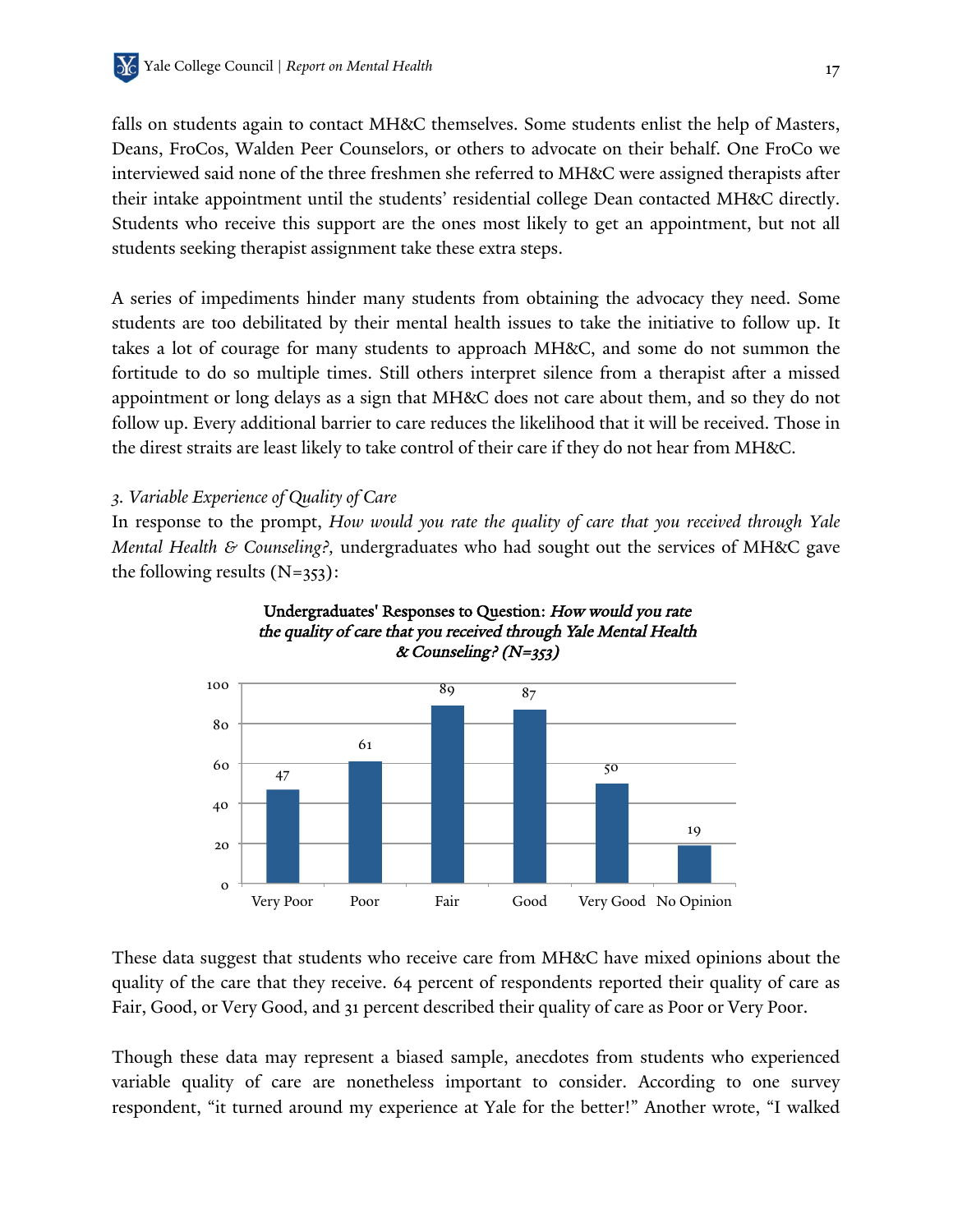falls on students again to contact MH&C themselves. Some students enlist the help of Masters, Deans, FroCos, Walden Peer Counselors, or others to advocate on their behalf. One FroCo we interviewed said none of the three freshmen she referred to MH&C were assigned therapists after their intake appointment until the students' residential college Dean contacted MH&C directly. Students who receive this support are the ones most likely to get an appointment, but not all students seeking therapist assignment take these extra steps.

A series of impediments hinder many students from obtaining the advocacy they need. Some students are too debilitated by their mental health issues to take the initiative to follow up. It takes a lot of courage for many students to approach MH&C, and some do not summon the fortitude to do so multiple times. Still others interpret silence from a therapist after a missed appointment or long delays as a sign that MH&C does not care about them, and so they do not follow up. Every additional barrier to care reduces the likelihood that it will be received. Those in the direst straits are least likely to take control of their care if they do not hear from MH&C.

#### *3. Variable Experience of Quality of Care*

In response to the prompt, *How would you rate the quality of care that you received through Yale Mental Health & Counseling?,* undergraduates who had sought out the services of MH&C gave the following results  $(N=353)$ :





These data suggest that students who receive care from MH&C have mixed opinions about the quality of the care that they receive. 64 percent of respondents reported their quality of care as Fair, Good, or Very Good, and 31 percent described their quality of care as Poor or Very Poor.

Though these data may represent a biased sample, anecdotes from students who experienced variable quality of care are nonetheless important to consider. According to one survey respondent, "it turned around my experience at Yale for the better!" Another wrote, "I walked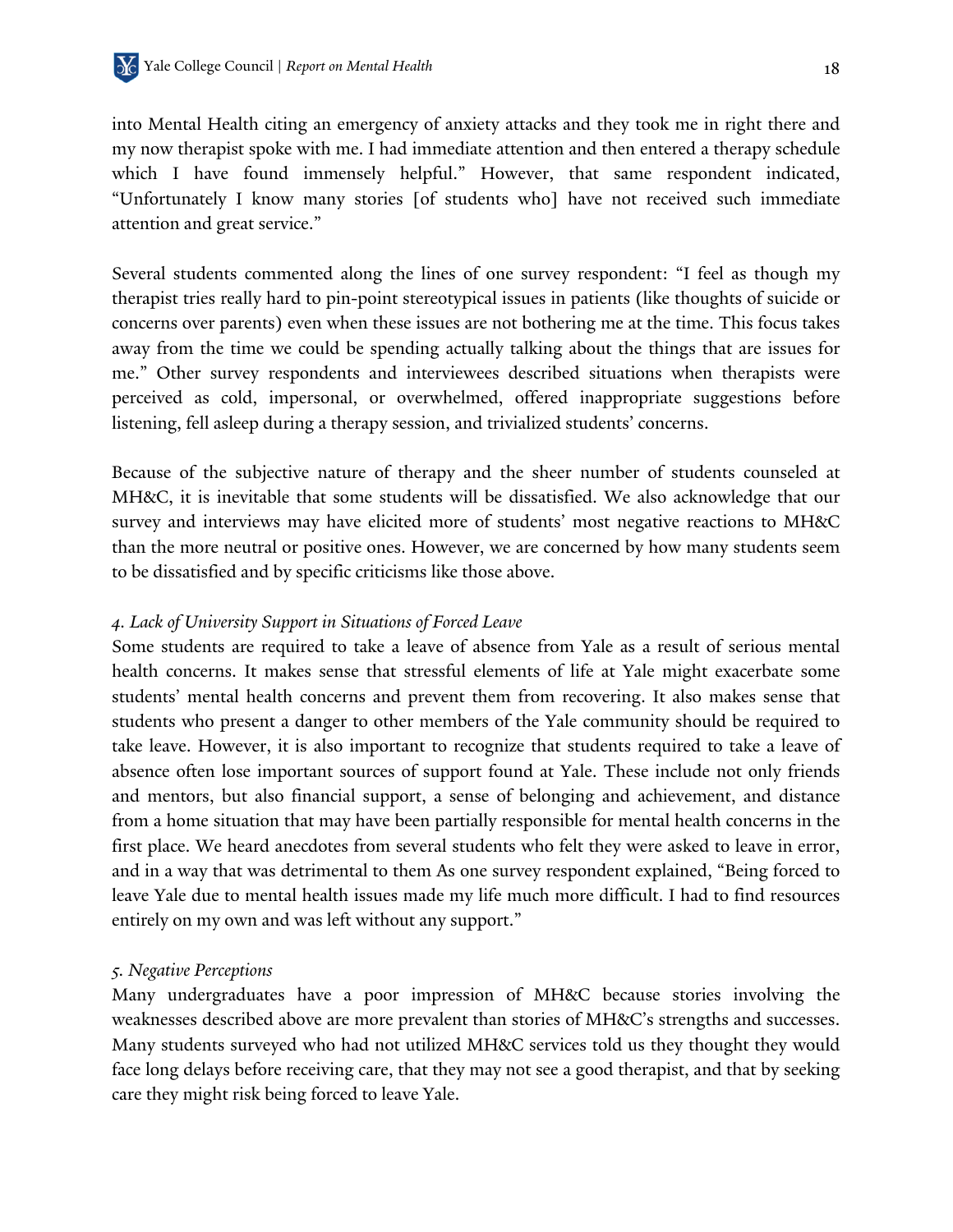into Mental Health citing an emergency of anxiety attacks and they took me in right there and my now therapist spoke with me. I had immediate attention and then entered a therapy schedule which I have found immensely helpful." However, that same respondent indicated, "Unfortunately I know many stories [of students who] have not received such immediate attention and great service."

Several students commented along the lines of one survey respondent: "I feel as though my therapist tries really hard to pin-point stereotypical issues in patients (like thoughts of suicide or concerns over parents) even when these issues are not bothering me at the time. This focus takes away from the time we could be spending actually talking about the things that are issues for me." Other survey respondents and interviewees described situations when therapists were perceived as cold, impersonal, or overwhelmed, offered inappropriate suggestions before listening, fell asleep during a therapy session, and trivialized students' concerns.

Because of the subjective nature of therapy and the sheer number of students counseled at MH&C, it is inevitable that some students will be dissatisfied. We also acknowledge that our survey and interviews may have elicited more of students' most negative reactions to MH&C than the more neutral or positive ones. However, we are concerned by how many students seem to be dissatisfied and by specific criticisms like those above.

#### *4. Lack of University Support in Situations of Forced Leave*

Some students are required to take a leave of absence from Yale as a result of serious mental health concerns. It makes sense that stressful elements of life at Yale might exacerbate some students' mental health concerns and prevent them from recovering. It also makes sense that students who present a danger to other members of the Yale community should be required to take leave. However, it is also important to recognize that students required to take a leave of absence often lose important sources of support found at Yale. These include not only friends and mentors, but also financial support, a sense of belonging and achievement, and distance from a home situation that may have been partially responsible for mental health concerns in the first place. We heard anecdotes from several students who felt they were asked to leave in error, and in a way that was detrimental to them As one survey respondent explained, "Being forced to leave Yale due to mental health issues made my life much more difficult. I had to find resources entirely on my own and was left without any support."

#### *5. Negative Perceptions*

Many undergraduates have a poor impression of MH&C because stories involving the weaknesses described above are more prevalent than stories of MH&C's strengths and successes. Many students surveyed who had not utilized MH&C services told us they thought they would face long delays before receiving care, that they may not see a good therapist, and that by seeking care they might risk being forced to leave Yale.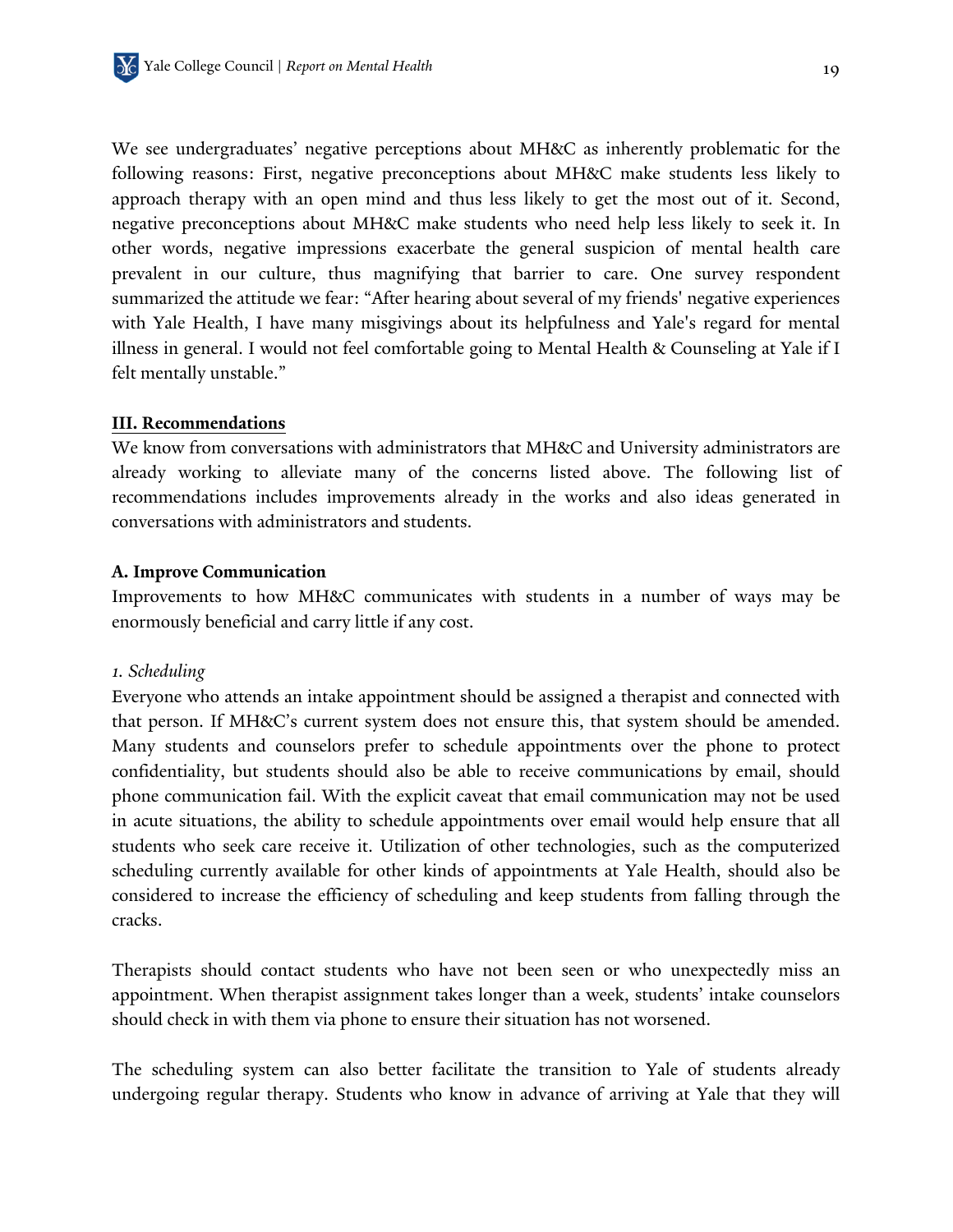We see undergraduates' negative perceptions about MH&C as inherently problematic for the following reasons: First, negative preconceptions about MH&C make students less likely to approach therapy with an open mind and thus less likely to get the most out of it. Second, negative preconceptions about MH&C make students who need help less likely to seek it. In other words, negative impressions exacerbate the general suspicion of mental health care prevalent in our culture, thus magnifying that barrier to care. One survey respondent summarized the attitude we fear: "After hearing about several of my friends' negative experiences with Yale Health, I have many misgivings about its helpfulness and Yale's regard for mental illness in general. I would not feel comfortable going to Mental Health & Counseling at Yale if I felt mentally unstable."

#### **III. Recommendations**

We know from conversations with administrators that MH&C and University administrators are already working to alleviate many of the concerns listed above. The following list of recommendations includes improvements already in the works and also ideas generated in conversations with administrators and students.

#### **A. Improve Communication**

Improvements to how MH&C communicates with students in a number of ways may be enormously beneficial and carry little if any cost.

#### *1. Scheduling*

Everyone who attends an intake appointment should be assigned a therapist and connected with that person. If MH&C's current system does not ensure this, that system should be amended. Many students and counselors prefer to schedule appointments over the phone to protect confidentiality, but students should also be able to receive communications by email, should phone communication fail. With the explicit caveat that email communication may not be used in acute situations, the ability to schedule appointments over email would help ensure that all students who seek care receive it. Utilization of other technologies, such as the computerized scheduling currently available for other kinds of appointments at Yale Health, should also be considered to increase the efficiency of scheduling and keep students from falling through the cracks.

Therapists should contact students who have not been seen or who unexpectedly miss an appointment. When therapist assignment takes longer than a week, students' intake counselors should check in with them via phone to ensure their situation has not worsened.

The scheduling system can also better facilitate the transition to Yale of students already undergoing regular therapy. Students who know in advance of arriving at Yale that they will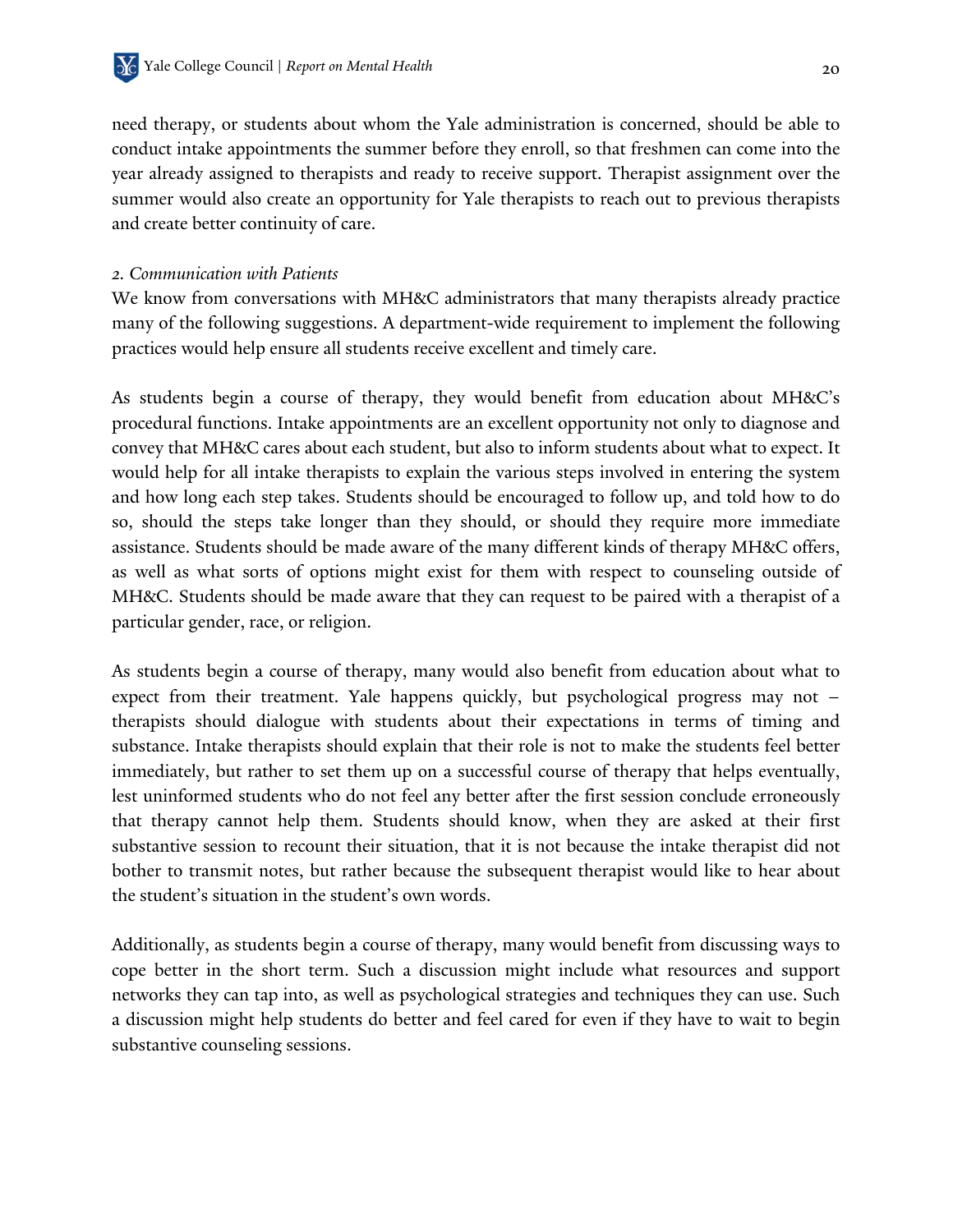need therapy, or students about whom the Yale administration is concerned, should be able to conduct intake appointments the summer before they enroll, so that freshmen can come into the year already assigned to therapists and ready to receive support. Therapist assignment over the summer would also create an opportunity for Yale therapists to reach out to previous therapists and create better continuity of care.

#### *2. Communication with Patients*

We know from conversations with MH&C administrators that many therapists already practice many of the following suggestions. A department-wide requirement to implement the following practices would help ensure all students receive excellent and timely care.

As students begin a course of therapy, they would benefit from education about MH&C's procedural functions. Intake appointments are an excellent opportunity not only to diagnose and convey that MH&C cares about each student, but also to inform students about what to expect. It would help for all intake therapists to explain the various steps involved in entering the system and how long each step takes. Students should be encouraged to follow up, and told how to do so, should the steps take longer than they should, or should they require more immediate assistance. Students should be made aware of the many different kinds of therapy MH&C offers, as well as what sorts of options might exist for them with respect to counseling outside of MH&C. Students should be made aware that they can request to be paired with a therapist of a particular gender, race, or religion.

As students begin a course of therapy, many would also benefit from education about what to expect from their treatment. Yale happens quickly, but psychological progress may not – therapists should dialogue with students about their expectations in terms of timing and substance. Intake therapists should explain that their role is not to make the students feel better immediately, but rather to set them up on a successful course of therapy that helps eventually, lest uninformed students who do not feel any better after the first session conclude erroneously that therapy cannot help them. Students should know, when they are asked at their first substantive session to recount their situation, that it is not because the intake therapist did not bother to transmit notes, but rather because the subsequent therapist would like to hear about the student's situation in the student's own words.

Additionally, as students begin a course of therapy, many would benefit from discussing ways to cope better in the short term. Such a discussion might include what resources and support networks they can tap into, as well as psychological strategies and techniques they can use. Such a discussion might help students do better and feel cared for even if they have to wait to begin substantive counseling sessions.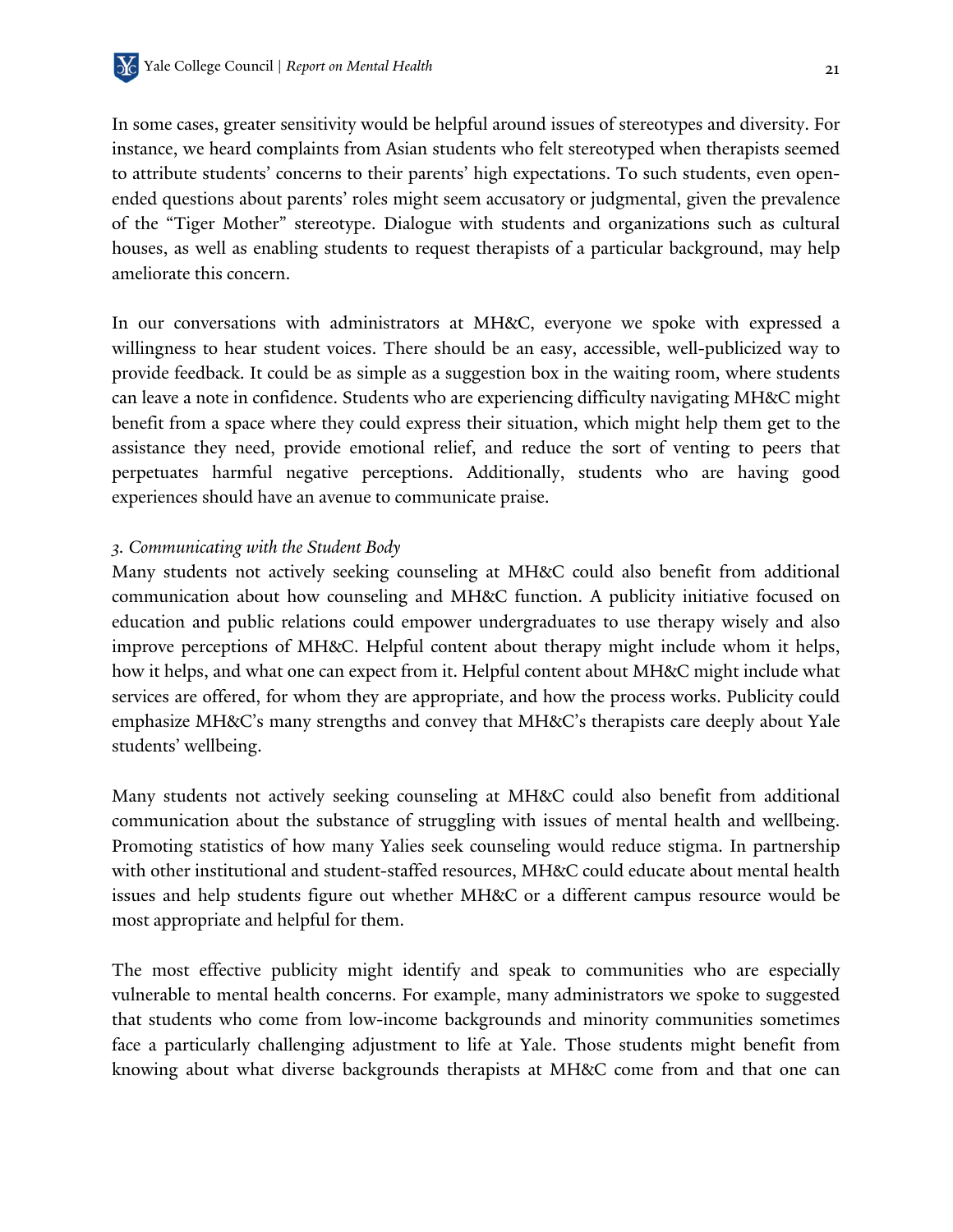In some cases, greater sensitivity would be helpful around issues of stereotypes and diversity. For instance, we heard complaints from Asian students who felt stereotyped when therapists seemed to attribute students' concerns to their parents' high expectations. To such students, even openended questions about parents' roles might seem accusatory or judgmental, given the prevalence of the "Tiger Mother" stereotype. Dialogue with students and organizations such as cultural houses, as well as enabling students to request therapists of a particular background, may help ameliorate this concern.

In our conversations with administrators at MH&C, everyone we spoke with expressed a willingness to hear student voices. There should be an easy, accessible, well-publicized way to provide feedback. It could be as simple as a suggestion box in the waiting room, where students can leave a note in confidence. Students who are experiencing difficulty navigating MH&C might benefit from a space where they could express their situation, which might help them get to the assistance they need, provide emotional relief, and reduce the sort of venting to peers that perpetuates harmful negative perceptions. Additionally, students who are having good experiences should have an avenue to communicate praise.

#### *3. Communicating with the Student Body*

Many students not actively seeking counseling at MH&C could also benefit from additional communication about how counseling and MH&C function. A publicity initiative focused on education and public relations could empower undergraduates to use therapy wisely and also improve perceptions of MH&C. Helpful content about therapy might include whom it helps, how it helps, and what one can expect from it. Helpful content about MH&C might include what services are offered, for whom they are appropriate, and how the process works. Publicity could emphasize MH&C's many strengths and convey that MH&C's therapists care deeply about Yale students' wellbeing.

Many students not actively seeking counseling at MH&C could also benefit from additional communication about the substance of struggling with issues of mental health and wellbeing. Promoting statistics of how many Yalies seek counseling would reduce stigma. In partnership with other institutional and student-staffed resources, MH&C could educate about mental health issues and help students figure out whether MH&C or a different campus resource would be most appropriate and helpful for them.

The most effective publicity might identify and speak to communities who are especially vulnerable to mental health concerns. For example, many administrators we spoke to suggested that students who come from low-income backgrounds and minority communities sometimes face a particularly challenging adjustment to life at Yale. Those students might benefit from knowing about what diverse backgrounds therapists at MH&C come from and that one can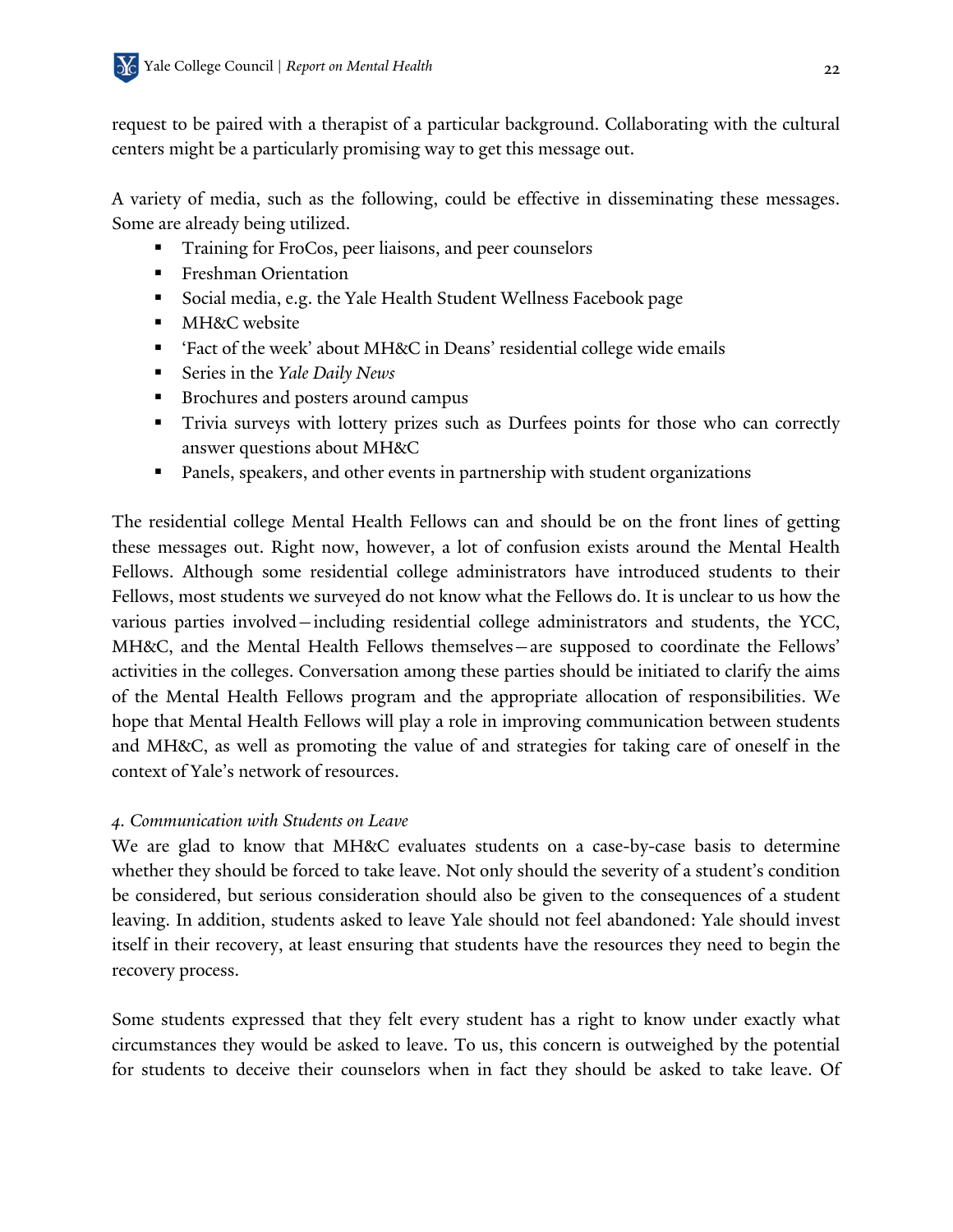request to be paired with a therapist of a particular background. Collaborating with the cultural centers might be a particularly promising way to get this message out.

A variety of media, such as the following, could be effective in disseminating these messages. Some are already being utilized.

- ! Training for FroCos, peer liaisons, and peer counselors
- **Example 1** Freshman Orientation
- ! Social media, e.g. the Yale Health Student Wellness Facebook page
- **I** MH&C website
- ! 'Fact of the week' about MH&C in Deans' residential college wide emails
- ! Series in the *Yale Daily News*
- ! Brochures and posters around campus
- ! Trivia surveys with lottery prizes such as Durfees points for those who can correctly answer questions about MH&C
- ! Panels, speakers, and other events in partnership with student organizations

The residential college Mental Health Fellows can and should be on the front lines of getting these messages out. Right now, however, a lot of confusion exists around the Mental Health Fellows. Although some residential college administrators have introduced students to their Fellows, most students we surveyed do not know what the Fellows do. It is unclear to us how the various parties involved—including residential college administrators and students, the YCC, MH&C, and the Mental Health Fellows themselves—are supposed to coordinate the Fellows' activities in the colleges. Conversation among these parties should be initiated to clarify the aims of the Mental Health Fellows program and the appropriate allocation of responsibilities. We hope that Mental Health Fellows will play a role in improving communication between students and MH&C, as well as promoting the value of and strategies for taking care of oneself in the context of Yale's network of resources.

## *4. Communication with Students on Leave*

We are glad to know that MH&C evaluates students on a case-by-case basis to determine whether they should be forced to take leave. Not only should the severity of a student's condition be considered, but serious consideration should also be given to the consequences of a student leaving. In addition, students asked to leave Yale should not feel abandoned: Yale should invest itself in their recovery, at least ensuring that students have the resources they need to begin the recovery process.

Some students expressed that they felt every student has a right to know under exactly what circumstances they would be asked to leave. To us, this concern is outweighed by the potential for students to deceive their counselors when in fact they should be asked to take leave. Of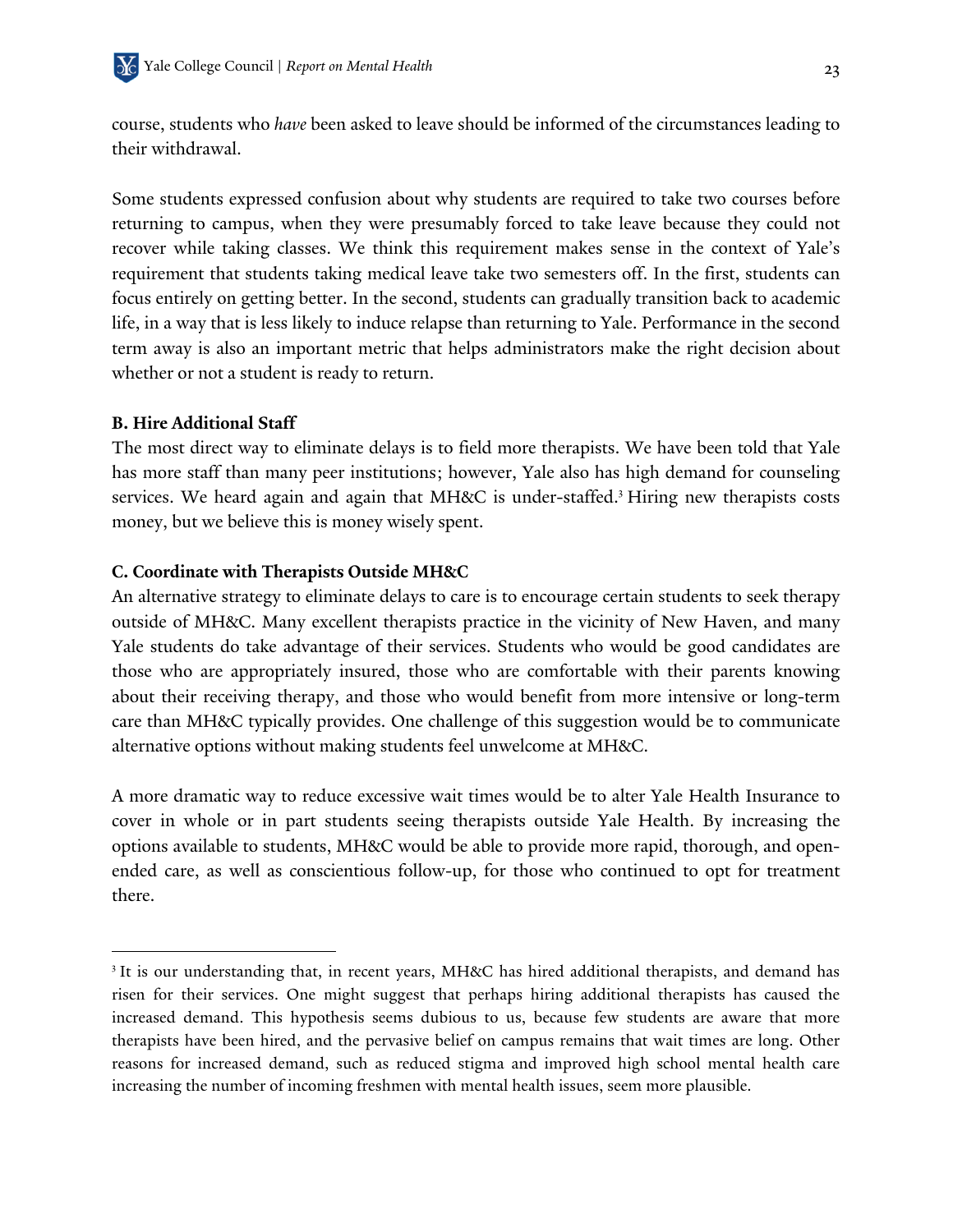course, students who *have* been asked to leave should be informed of the circumstances leading to their withdrawal.

Some students expressed confusion about why students are required to take two courses before returning to campus, when they were presumably forced to take leave because they could not recover while taking classes. We think this requirement makes sense in the context of Yale's requirement that students taking medical leave take two semesters off. In the first, students can focus entirely on getting better. In the second, students can gradually transition back to academic life, in a way that is less likely to induce relapse than returning to Yale. Performance in the second term away is also an important metric that helps administrators make the right decision about whether or not a student is ready to return.

#### **B. Hire Additional Staff**

 $\overline{a}$ 

The most direct way to eliminate delays is to field more therapists. We have been told that Yale has more staff than many peer institutions; however, Yale also has high demand for counseling services. We heard again and again that MH&C is under-staffed.<sup>3</sup> Hiring new therapists costs money, but we believe this is money wisely spent.

#### **C. Coordinate with Therapists Outside MH&C**

An alternative strategy to eliminate delays to care is to encourage certain students to seek therapy outside of MH&C. Many excellent therapists practice in the vicinity of New Haven, and many Yale students do take advantage of their services. Students who would be good candidates are those who are appropriately insured, those who are comfortable with their parents knowing about their receiving therapy, and those who would benefit from more intensive or long-term care than MH&C typically provides. One challenge of this suggestion would be to communicate alternative options without making students feel unwelcome at MH&C.

A more dramatic way to reduce excessive wait times would be to alter Yale Health Insurance to cover in whole or in part students seeing therapists outside Yale Health. By increasing the options available to students, MH&C would be able to provide more rapid, thorough, and openended care, as well as conscientious follow-up, for those who continued to opt for treatment there.

<sup>&</sup>lt;sup>3</sup> It is our understanding that, in recent years, MH&C has hired additional therapists, and demand has risen for their services. One might suggest that perhaps hiring additional therapists has caused the increased demand. This hypothesis seems dubious to us, because few students are aware that more therapists have been hired, and the pervasive belief on campus remains that wait times are long. Other reasons for increased demand, such as reduced stigma and improved high school mental health care increasing the number of incoming freshmen with mental health issues, seem more plausible.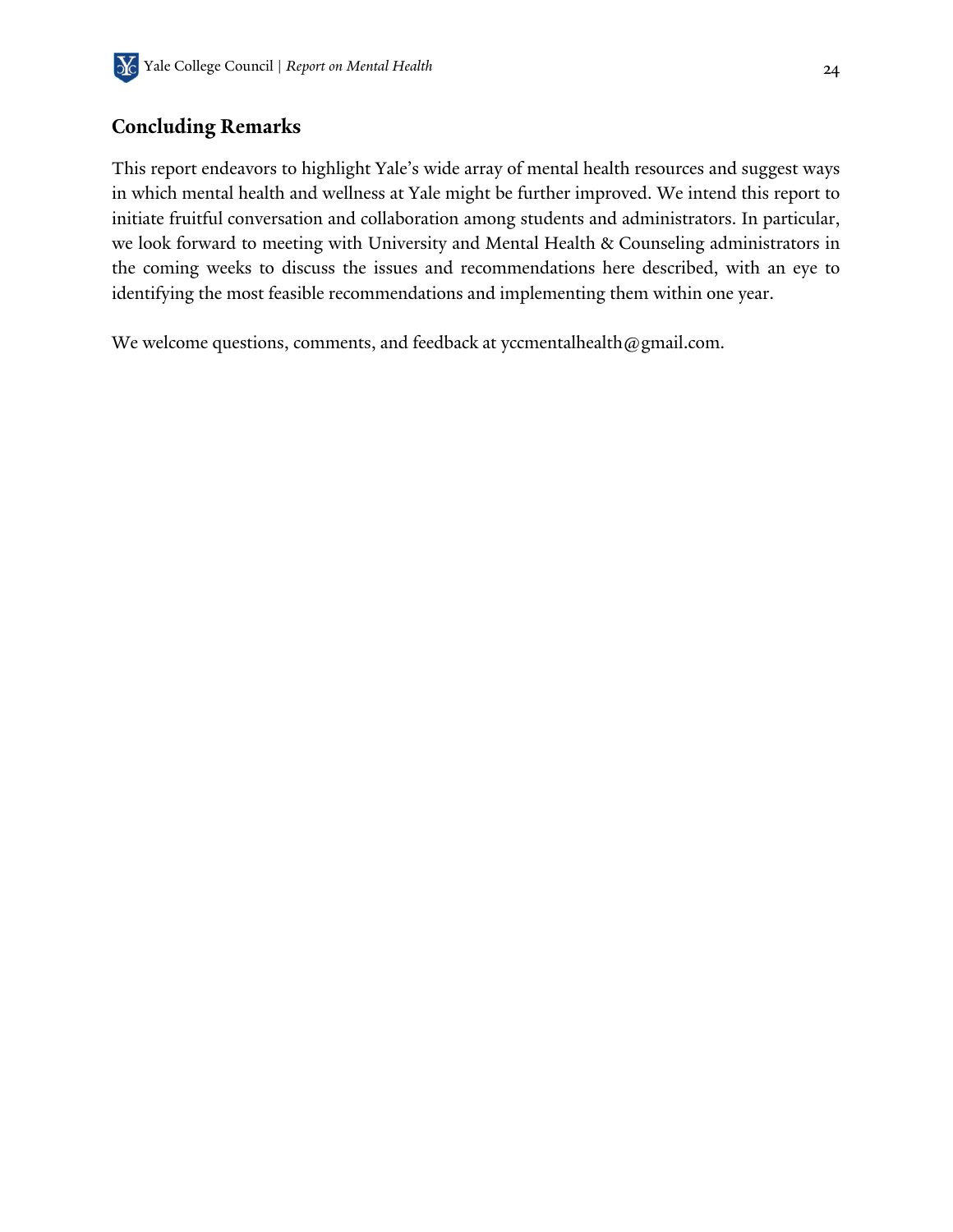## **Concluding Remarks**

This report endeavors to highlight Yale's wide array of mental health resources and suggest ways in which mental health and wellness at Yale might be further improved. We intend this report to initiate fruitful conversation and collaboration among students and administrators. In particular, we look forward to meeting with University and Mental Health & Counseling administrators in the coming weeks to discuss the issues and recommendations here described, with an eye to identifying the most feasible recommendations and implementing them within one year.

We welcome questions, comments, and feedback at yccmentalhealth@gmail.com.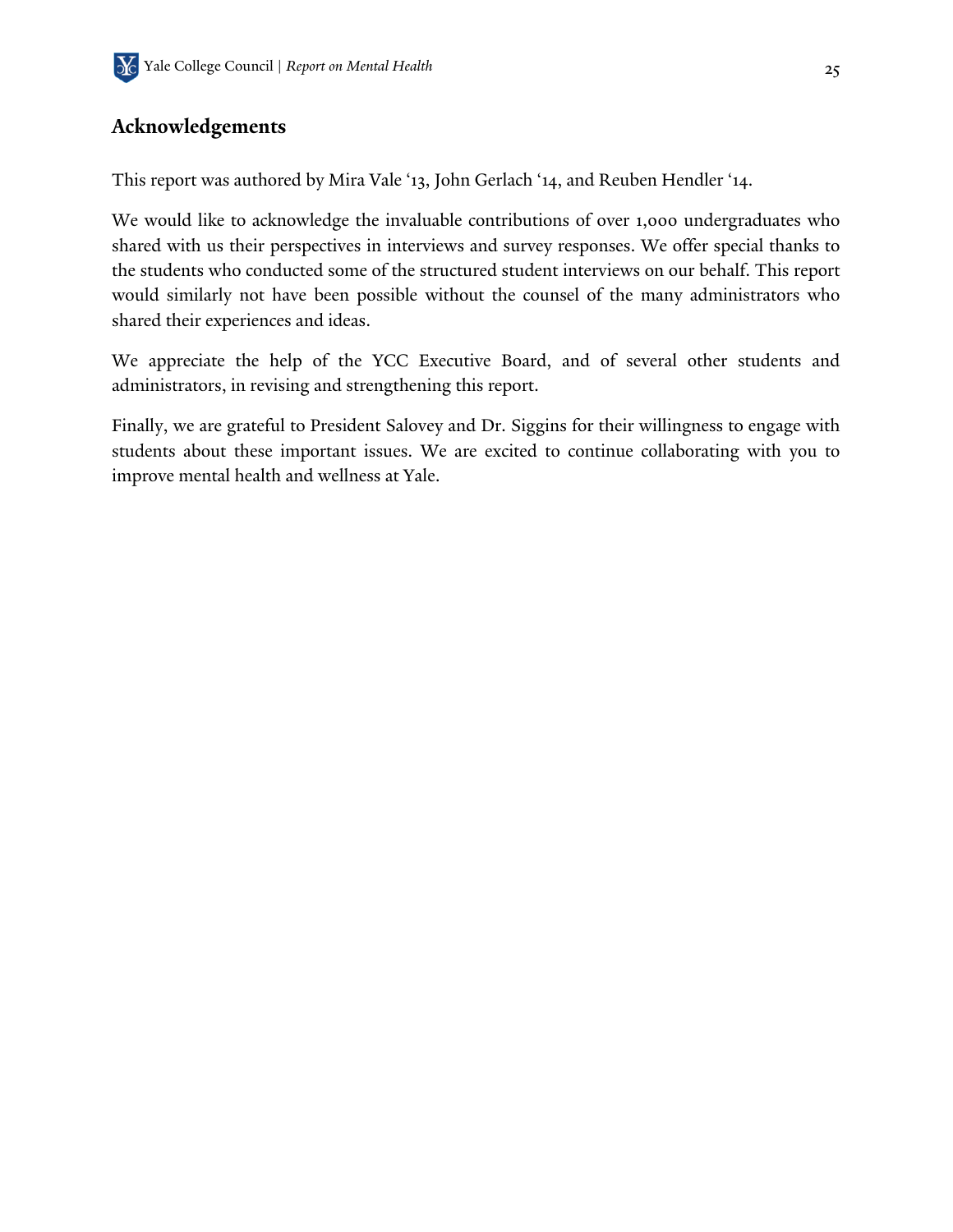## **Acknowledgements**

This report was authored by Mira Vale '13, John Gerlach '14, and Reuben Hendler '14.

We would like to acknowledge the invaluable contributions of over 1,000 undergraduates who shared with us their perspectives in interviews and survey responses. We offer special thanks to the students who conducted some of the structured student interviews on our behalf. This report would similarly not have been possible without the counsel of the many administrators who shared their experiences and ideas.

We appreciate the help of the YCC Executive Board, and of several other students and administrators, in revising and strengthening this report.

Finally, we are grateful to President Salovey and Dr. Siggins for their willingness to engage with students about these important issues. We are excited to continue collaborating with you to improve mental health and wellness at Yale.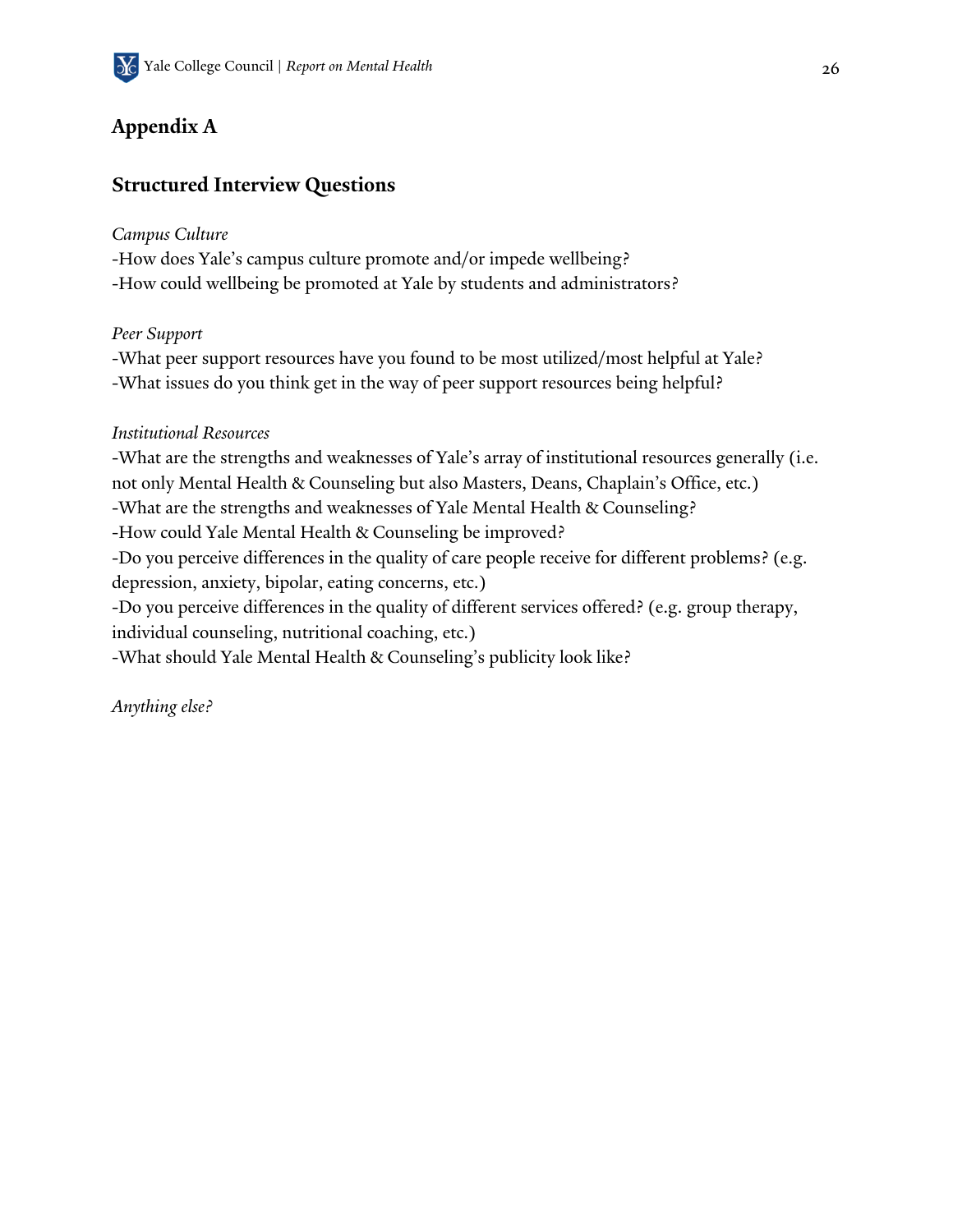## **Appendix A**

## **Structured Interview Questions**

### *Campus Culture*

-How does Yale's campus culture promote and/or impede wellbeing?

-How could wellbeing be promoted at Yale by students and administrators?

## *Peer Support*

-What peer support resources have you found to be most utilized/most helpful at Yale? -What issues do you think get in the way of peer support resources being helpful?

## *Institutional Resources*

-What are the strengths and weaknesses of Yale's array of institutional resources generally (i.e. not only Mental Health & Counseling but also Masters, Deans, Chaplain's Office, etc.) -What are the strengths and weaknesses of Yale Mental Health & Counseling? -How could Yale Mental Health & Counseling be improved? -Do you perceive differences in the quality of care people receive for different problems? (e.g. depression, anxiety, bipolar, eating concerns, etc.) -Do you perceive differences in the quality of different services offered? (e.g. group therapy, individual counseling, nutritional coaching, etc.) -What should Yale Mental Health & Counseling's publicity look like?

*Anything else?*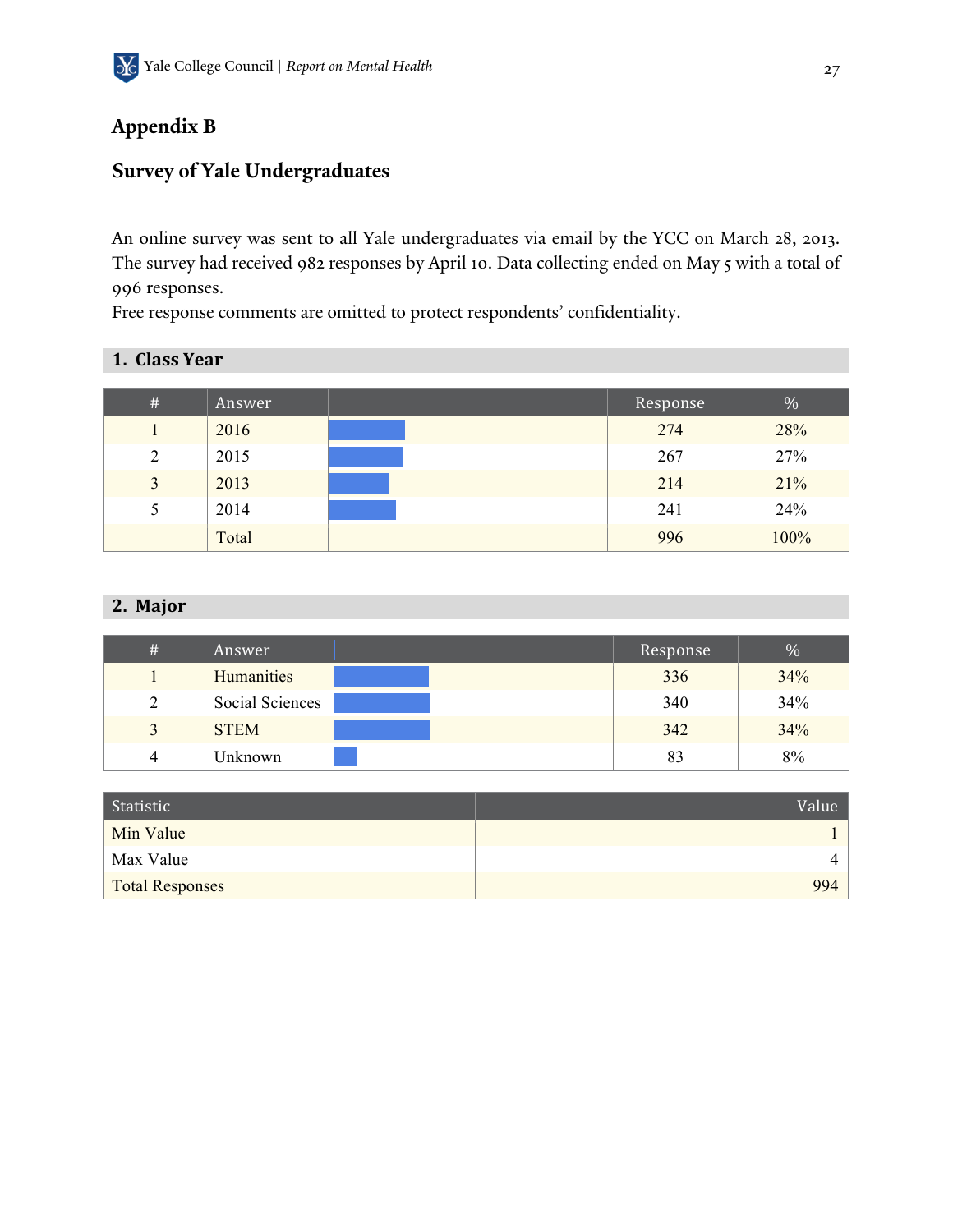## **Appendix B**

## **Survey of Yale Undergraduates**

An online survey was sent to all Yale undergraduates via email by the YCC on March 28, 2013. The survey had received 982 responses by April 10. Data collecting ended on May 5 with a total of 996 responses.

Free response comments are omitted to protect respondents' confidentiality.

| $\#$          | Answer | Response | $\%$ |
|---------------|--------|----------|------|
|               | 2016   | 274      | 28%  |
| 2             | 2015   | 267      | 27%  |
| 3             | 2013   | 214      | 21%  |
| $\mathcal{D}$ | 2014   | 241      | 24%  |
|               | Total  | 996      | 100% |

## 2. Major

| # | Answer          | Response | $\%$ |
|---|-----------------|----------|------|
|   | Humanities      | 336      | 34%  |
| 2 | Social Sciences | 340      | 34%  |
| 3 | <b>STEM</b>     | 342      | 34%  |
| 4 | Unknown         | 83       | 8%   |

| Statistic       | Value |
|-----------------|-------|
| Min Value       |       |
| Max Value       | 4     |
| Total Responses | 994   |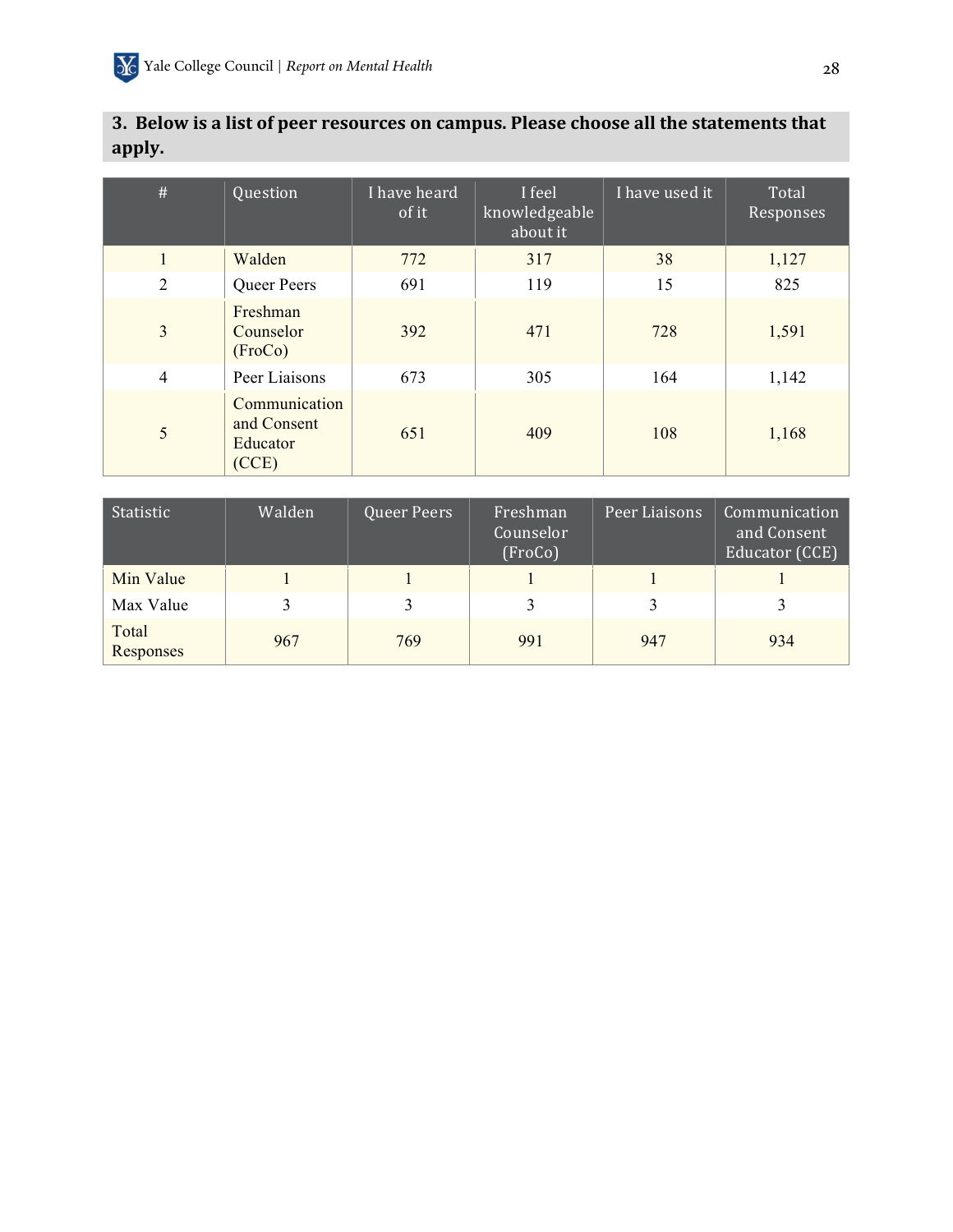| #              | Question                                          | I have heard<br>of it | I feel<br>knowledgeable<br>about it | I have used it | Total<br>Responses |
|----------------|---------------------------------------------------|-----------------------|-------------------------------------|----------------|--------------------|
| $\mathbf{1}$   | Walden                                            | 772                   | 317                                 | 38             | 1,127              |
| $\overline{2}$ | Queer Peers                                       | 691                   | 119                                 | 15             | 825                |
| $\overline{3}$ | Freshman<br>Counselor<br>(FroCo)                  | 392                   | 471                                 | 728            | 1,591              |
| $\overline{4}$ | Peer Liaisons                                     | 673                   | 305                                 | 164            | 1,142              |
| 5              | Communication<br>and Consent<br>Educator<br>(CCE) | 651                   | 409                                 | 108            | 1,168              |

## 3. Below is a list of peer resources on campus. Please choose all the statements that **apply.**

| Statistic          | Walden | Queer Peers | Freshman<br>Counselor<br>(FroCo) | Peer Liaisons | Communication<br>and Consent<br>Educator (CCE) |
|--------------------|--------|-------------|----------------------------------|---------------|------------------------------------------------|
| Min Value          |        |             |                                  |               |                                                |
| Max Value          |        |             |                                  |               |                                                |
| Total<br>Responses | 967    | 769         | 991                              | 947           | 934                                            |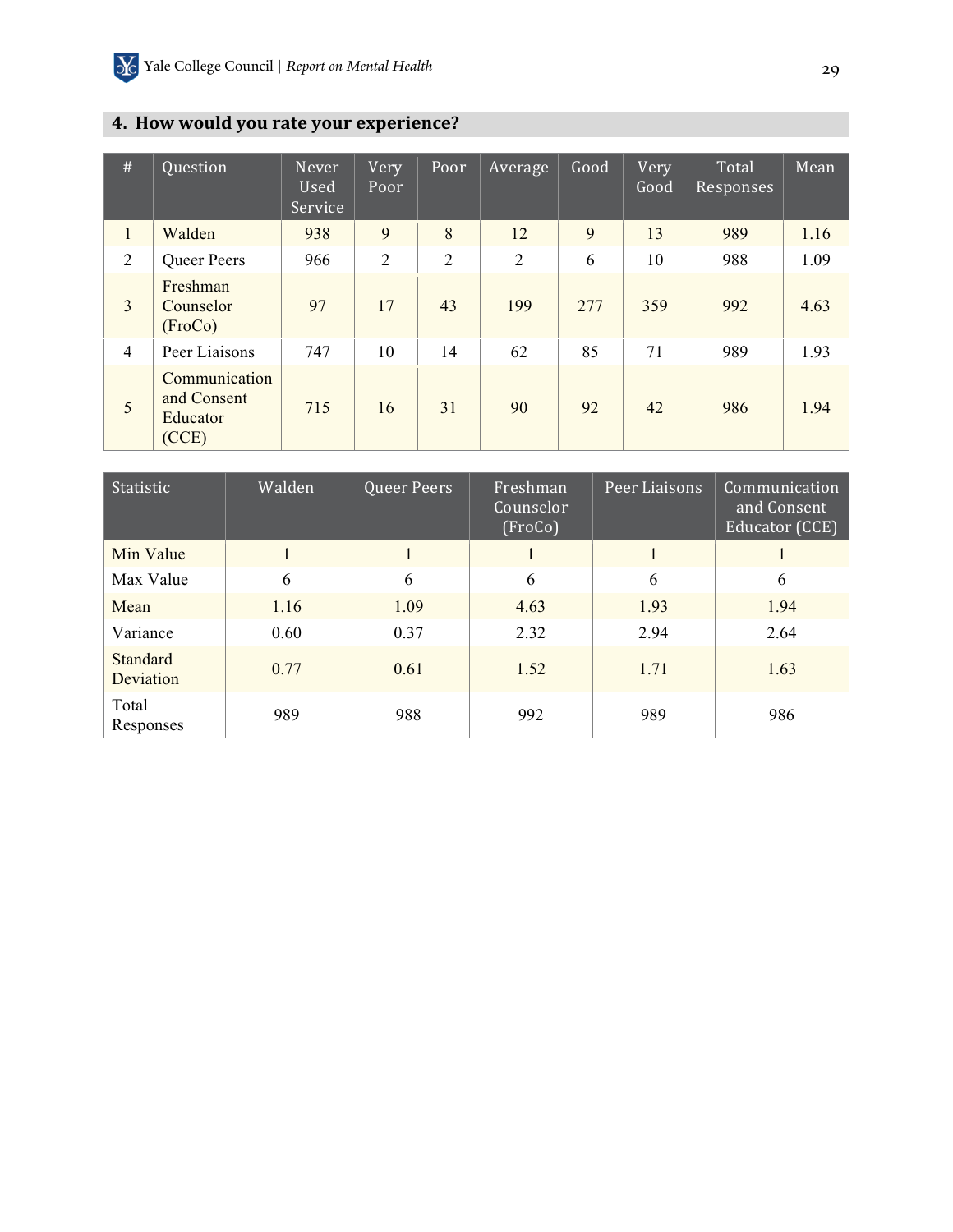## **4. How would you rate your experience?**

| #              | Question                                          | Never<br>Used<br>Service | Very<br>Poor   | Poor           | Average        | Good | Very<br>Good | Total<br>Responses | Mean |
|----------------|---------------------------------------------------|--------------------------|----------------|----------------|----------------|------|--------------|--------------------|------|
| $\mathbf{1}$   | Walden                                            | 938                      | 9              | 8              | 12             | 9    | 13           | 989                | 1.16 |
| $\overline{2}$ | <b>Queer Peers</b>                                | 966                      | $\overline{2}$ | $\overline{2}$ | $\overline{2}$ | 6    | 10           | 988                | 1.09 |
| $\overline{3}$ | Freshman<br>Counselor<br>(FroCo)                  | 97                       | 17             | 43             | 199            | 277  | 359          | 992                | 4.63 |
| $\overline{4}$ | Peer Liaisons                                     | 747                      | 10             | 14             | 62             | 85   | 71           | 989                | 1.93 |
| 5              | Communication<br>and Consent<br>Educator<br>(CCE) | 715                      | 16             | 31             | 90             | 92   | 42           | 986                | 1.94 |

| Statistic             | Walden | Queer Peers | Freshman<br>Counselor<br>(FroCo) | Peer Liaisons | Communication<br>and Consent<br>Educator (CCE) |  |
|-----------------------|--------|-------------|----------------------------------|---------------|------------------------------------------------|--|
| Min Value             |        |             |                                  |               |                                                |  |
| Max Value             | 6      | 6           | 6                                | 6             | 6                                              |  |
| Mean                  | 1.16   | 1.09        | 4.63                             | 1.93          | 1.94                                           |  |
| Variance              | 0.60   | 0.37        | 2.32                             | 2.94          | 2.64                                           |  |
| Standard<br>Deviation | 0.77   | 0.61        | 1.52                             | 1.71          | 1.63                                           |  |
| Total<br>Responses    | 989    | 988         | 992                              | 989           | 986                                            |  |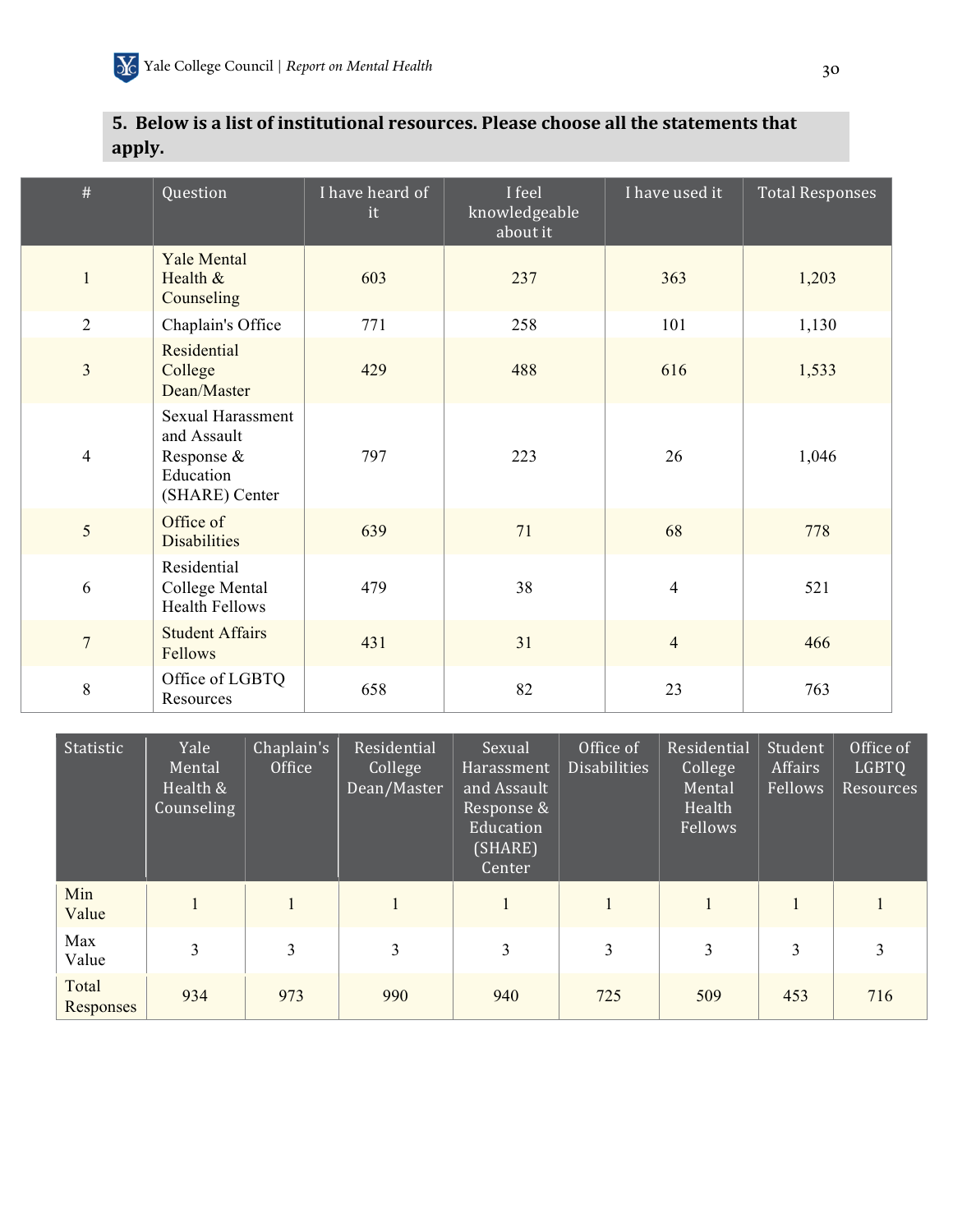## **5. Below is a list of institutional resources. Please choose all the statements that apply.**

| #                       | Question                                                                             | I have heard of<br>it | I feel<br>knowledgeable<br>about it | I have used it | <b>Total Responses</b> |
|-------------------------|--------------------------------------------------------------------------------------|-----------------------|-------------------------------------|----------------|------------------------|
| $\mathbf{1}$            | <b>Yale Mental</b><br>Health $&$<br>Counseling                                       | 603                   | 237                                 | 363            | 1,203                  |
| $\overline{2}$          | Chaplain's Office                                                                    | 771                   | 258                                 | 101            | 1,130                  |
| $\overline{\mathbf{3}}$ | Residential<br>College<br>Dean/Master                                                | 429                   | 488                                 | 616            | 1,533                  |
| $\overline{4}$          | <b>Sexual Harassment</b><br>and Assault<br>Response &<br>Education<br>(SHARE) Center | 797                   | 223                                 | 26             | 1,046                  |
| 5                       | Office of<br><b>Disabilities</b>                                                     | 639                   | 71                                  | 68             | 778                    |
| 6                       | Residential<br>College Mental<br><b>Health Fellows</b>                               | 479                   | 38                                  | $\overline{4}$ | 521                    |
| $\overline{7}$          | <b>Student Affairs</b><br>Fellows                                                    | 431                   | 31                                  | $\overline{4}$ | 466                    |
| 8                       | Office of LGBTQ<br>Resources                                                         | 658                   | 82                                  | 23             | 763                    |

| Statistic          | Yale<br>Mental<br>Health &<br>Counseling | Chaplain's<br>Office | Residential<br>College<br>Dean/Master | Sexual<br>Harassment<br>and Assault<br>Response &<br>Education<br>(SHARE)<br>Center | Office of<br><b>Disabilities</b> | Residential<br>College<br>Mental<br>Health<br>Fellows | Student<br>Affairs<br>Fellows | Office of<br><b>LGBTQ</b><br><b>Resources</b> |
|--------------------|------------------------------------------|----------------------|---------------------------------------|-------------------------------------------------------------------------------------|----------------------------------|-------------------------------------------------------|-------------------------------|-----------------------------------------------|
| Min<br>Value       |                                          |                      |                                       |                                                                                     |                                  |                                                       |                               |                                               |
| Max<br>Value       | 3                                        | 3                    | 3                                     | 3                                                                                   | 3                                | 3                                                     | 3                             | 3                                             |
| Total<br>Responses | 934                                      | 973                  | 990                                   | 940                                                                                 | 725                              | 509                                                   | 453                           | 716                                           |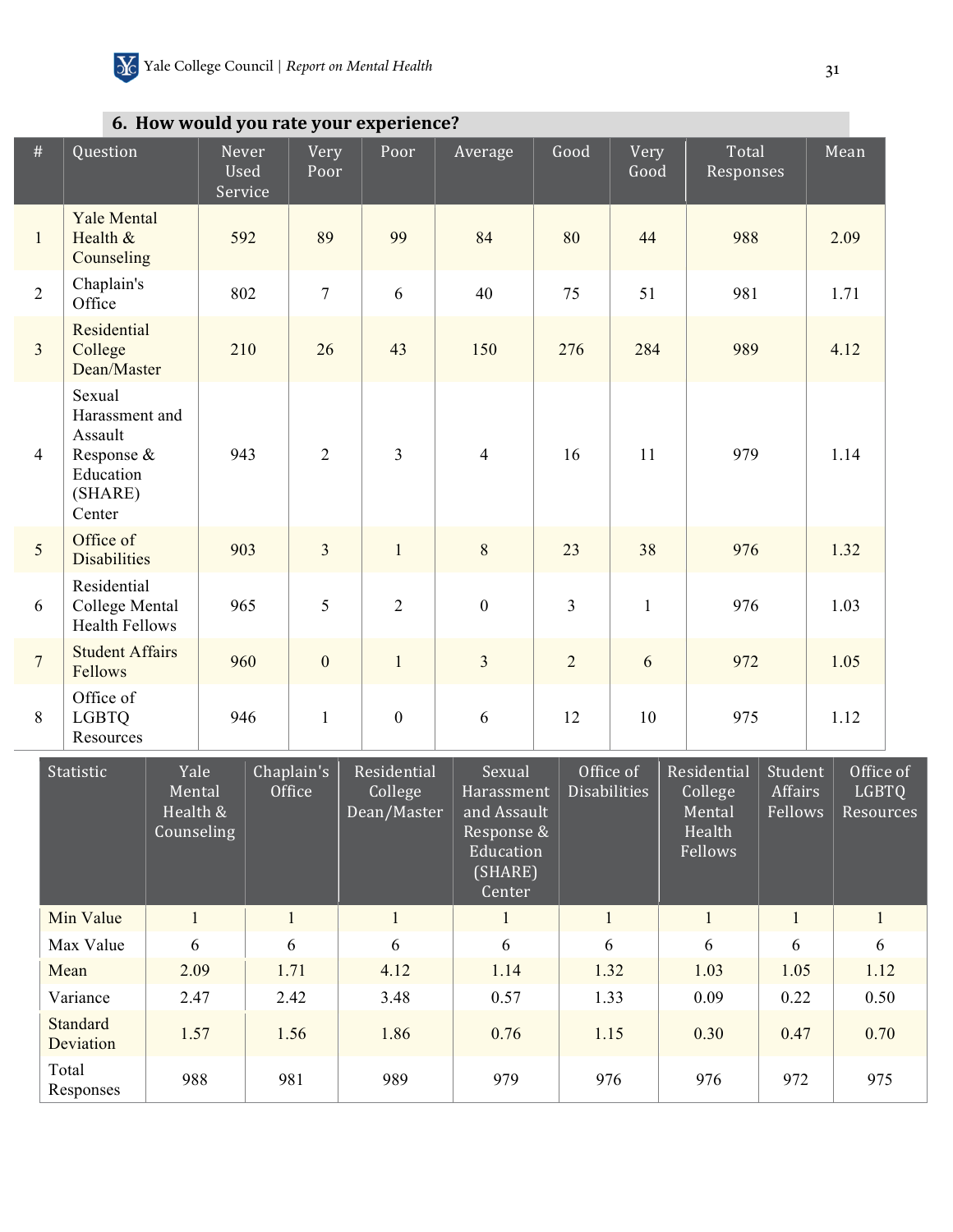|  |  |  |  |  |  | 6. How would you rate your experience? |
|--|--|--|--|--|--|----------------------------------------|
|--|--|--|--|--|--|----------------------------------------|

 $\overline{\phantom{a}}$ 

| #              | Question                                                                            | Never<br>Used<br>Service | Very<br>Poor         | Poor                   | Average                     | Good           | Very<br>Good                     | Total<br>Responses                           | Mean                      |
|----------------|-------------------------------------------------------------------------------------|--------------------------|----------------------|------------------------|-----------------------------|----------------|----------------------------------|----------------------------------------------|---------------------------|
| $\mathbf{1}$   | <b>Yale Mental</b><br>Health $&$<br>Counseling                                      | 592                      | 89                   | 99                     | 84                          | 80             | 44                               | 988                                          | 2.09                      |
| $\overline{2}$ | Chaplain's<br>Office                                                                | 802                      | $\overline{7}$       | 6                      | 40                          | 75             | 51                               | 981                                          | 1.71                      |
| $\overline{3}$ | Residential<br>College<br>Dean/Master                                               | 210                      | 26                   | 43                     | 150                         | 276            | 284                              | 989                                          | 4.12                      |
| $\overline{4}$ | Sexual<br>Harassment and<br>Assault<br>Response &<br>Education<br>(SHARE)<br>Center | 943                      | $\overline{2}$       | 3                      | $\overline{4}$              | 16             | 11                               | 979                                          | 1.14                      |
| 5              | Office of<br><b>Disabilities</b>                                                    | 903                      | $\overline{3}$       | $\mathbf{1}$           | 8                           | 23             | 38                               | 976                                          | 1.32                      |
| 6              | Residential<br>College Mental<br><b>Health Fellows</b>                              | 965                      | 5                    | $\overline{2}$         | $\boldsymbol{0}$            | $\overline{3}$ | $\mathbf{1}$                     | 976                                          | 1.03                      |
| $\overline{7}$ | <b>Student Affairs</b><br>Fellows                                                   | 960                      | $\overline{0}$       | $\mathbf{1}$           | $\overline{3}$              | $\overline{2}$ | 6                                | 972                                          | 1.05                      |
| 8              | Office of<br><b>LGBTQ</b><br>Resources                                              | 946                      | $\mathbf{1}$         | $\overline{0}$         | 6                           | 12             | 10                               | 975                                          | 1.12                      |
|                | Yale<br>Statistic<br>Mental                                                         |                          | Chaplain's<br>Office | Residential<br>College | Sexual<br><b>Harassment</b> |                | Office of<br><b>Disabilities</b> | Residential<br>Student<br>Affairs<br>College | Office of<br><b>LGBTQ</b> |

| 3 tatistic            | r die l<br>Mental<br>Health &<br>Counseling | Gildpidili S<br>Office | Residential<br>College<br>Dean/Master | 50 Sexual<br>Harassment<br>and Assault<br>Response &<br>Education<br>(SHARE)<br>Center | UIILLE UI<br><b>Disabilities</b> | Residential<br>College<br>Mental<br>Health<br>Fellows | Studelit<br>Affairs<br>Fellows | <b>OILICE OF</b><br><b>LGBTQ</b><br>Resources |
|-----------------------|---------------------------------------------|------------------------|---------------------------------------|----------------------------------------------------------------------------------------|----------------------------------|-------------------------------------------------------|--------------------------------|-----------------------------------------------|
| Min Value             |                                             | 1                      |                                       |                                                                                        |                                  | $\mathbf{1}$                                          |                                |                                               |
| Max Value             | 6                                           | 6                      | 6                                     | 6                                                                                      | 6                                | 6                                                     | 6                              | 6                                             |
| Mean                  | 2.09                                        | 1.71                   | 4.12                                  | 1.14                                                                                   | 1.32                             | 1.03                                                  | 1.05                           | 1.12                                          |
| Variance              | 2.47                                        | 2.42                   | 3.48                                  | 0.57                                                                                   | 1.33                             | 0.09                                                  | 0.22                           | 0.50                                          |
| Standard<br>Deviation | 1.57                                        | 1.56                   | 1.86                                  | 0.76                                                                                   | 1.15                             | 0.30                                                  | 0.47                           | 0.70                                          |
| Total<br>Responses    | 988                                         | 981                    | 989                                   | 979                                                                                    | 976                              | 976                                                   | 972                            | 975                                           |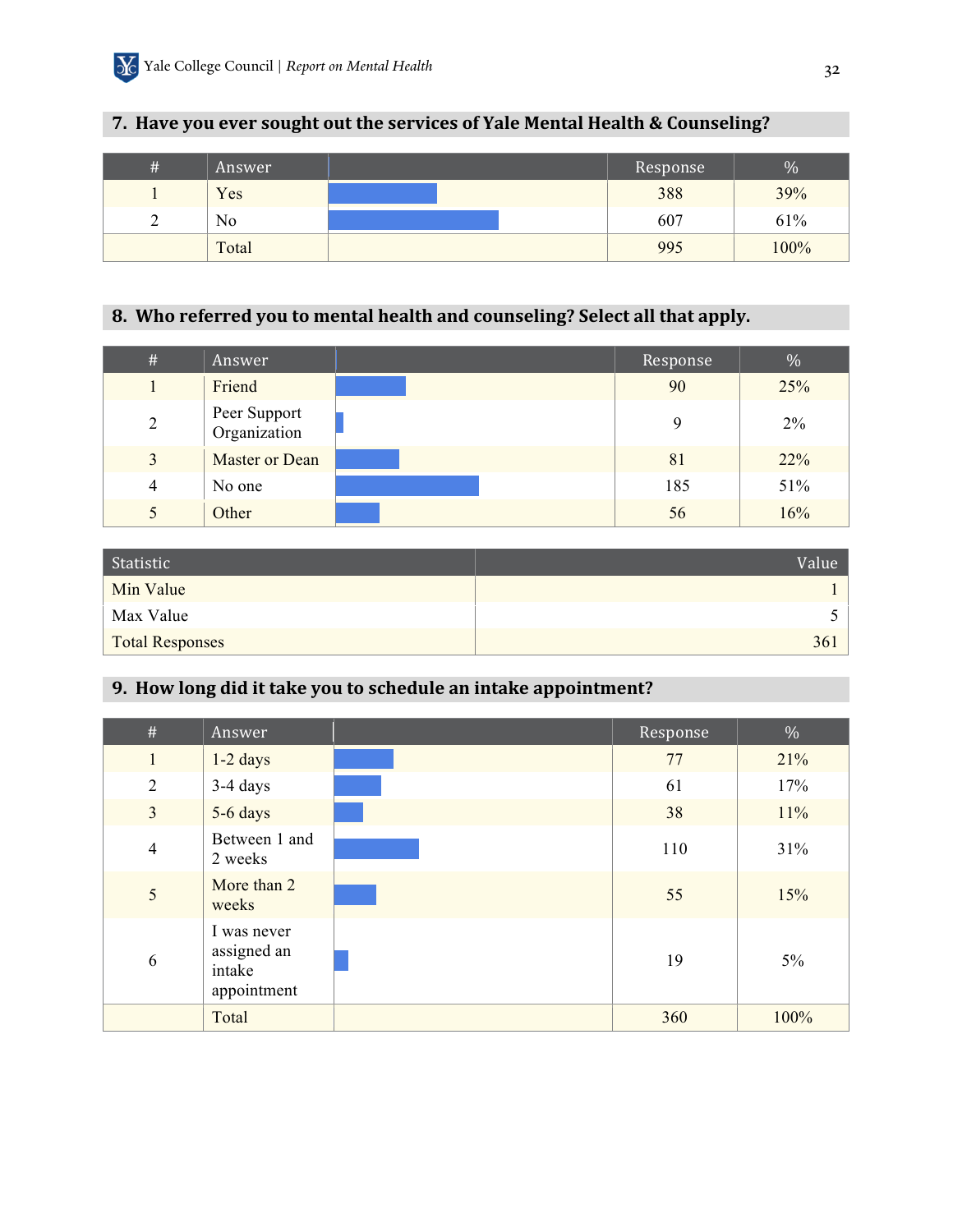## **7. Have you ever sought out the services of Yale Mental Health & Counseling?**

| # | Answer | Response | $\%$ |
|---|--------|----------|------|
|   | Yes    | 388      | 39%  |
| ∽ | No     | 607      | 61%  |
|   | Total  | 995      | 100% |

## 8. Who referred you to mental health and counseling? Select all that apply.

| #              | Answer                       | Response | $\%$  |
|----------------|------------------------------|----------|-------|
|                | Friend                       | 90       | 25%   |
| $\overline{2}$ | Peer Support<br>Organization | 9        | $2\%$ |
| $\overline{3}$ | Master or Dean               | 81       | 22%   |
| $\overline{4}$ | No one                       | 185      | 51%   |
| 5              | Other                        | 56       | 16%   |

| Statistic              | Value |
|------------------------|-------|
| Min Value              |       |
| Max Value              |       |
| <b>Total Responses</b> | 361   |

## **9. How long did it take you to schedule an intake appointment?**

| $\#$           | Answer                                              | Response | $\%$  |
|----------------|-----------------------------------------------------|----------|-------|
| $\mathbf{1}$   | $1-2$ days                                          | 77       | 21%   |
| $\overline{2}$ | $3-4$ days                                          | 61       | 17%   |
| $\overline{3}$ | 5-6 days                                            | 38       | 11%   |
| $\overline{4}$ | Between 1 and<br>2 weeks                            | 110      | 31%   |
| 5              | More than 2<br>weeks                                | 55       | 15%   |
| 6              | I was never<br>assigned an<br>intake<br>appointment | 19       | $5\%$ |
|                | Total                                               | 360      | 100%  |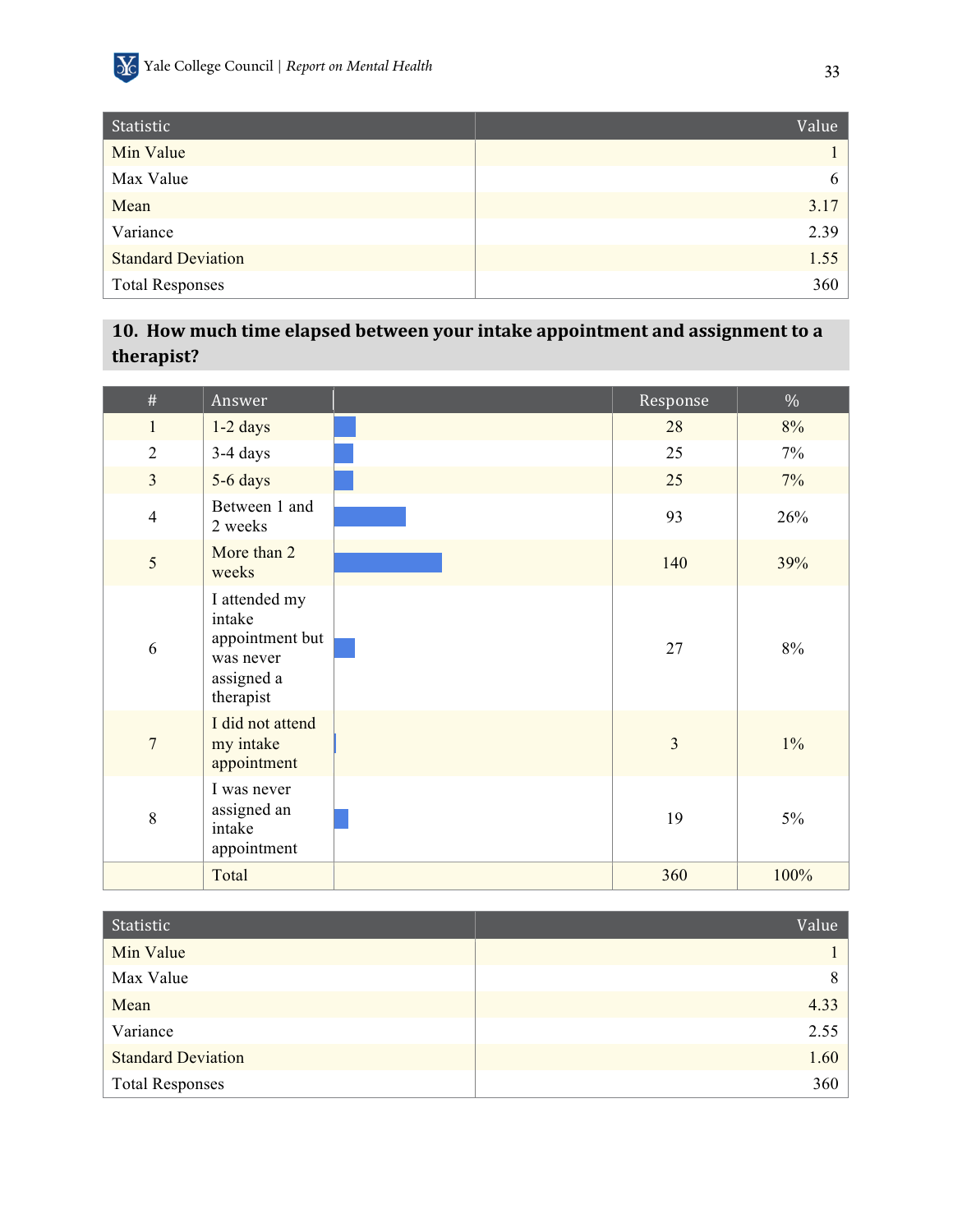

| Statistic                 | Value |
|---------------------------|-------|
| Min Value                 |       |
| Max Value                 | 6     |
| Mean                      | 3.17  |
| Variance                  | 2.39  |
| <b>Standard Deviation</b> | 1.55  |
| <b>Total Responses</b>    | 360   |

## 10. How much time elapsed between your intake appointment and assignment to a **therapist?**

| $\#$           | Answer                                                                             | Response       | $\%$  |
|----------------|------------------------------------------------------------------------------------|----------------|-------|
| $\mathbf{1}$   | $1-2$ days                                                                         | 28             | 8%    |
| $\overline{2}$ | 3-4 days                                                                           | 25             | $7\%$ |
| $\overline{3}$ | 5-6 days                                                                           | 25             | $7\%$ |
| $\overline{4}$ | Between 1 and<br>2 weeks                                                           | 93             | 26%   |
| 5              | More than 2<br>weeks                                                               | 140            | 39%   |
| 6              | I attended my<br>intake<br>appointment but<br>was never<br>assigned a<br>therapist | 27             | 8%    |
| $\overline{7}$ | I did not attend<br>my intake<br>appointment                                       | $\overline{3}$ | $1\%$ |
| 8              | I was never<br>assigned an<br>intake<br>appointment                                | 19             | $5\%$ |
|                | Total                                                                              | 360            | 100%  |

| Statistic                 | Value |
|---------------------------|-------|
| Min Value                 |       |
| Max Value                 | 8     |
| Mean                      | 4.33  |
| Variance                  | 2.55  |
| <b>Standard Deviation</b> | 1.60  |
| <b>Total Responses</b>    | 360   |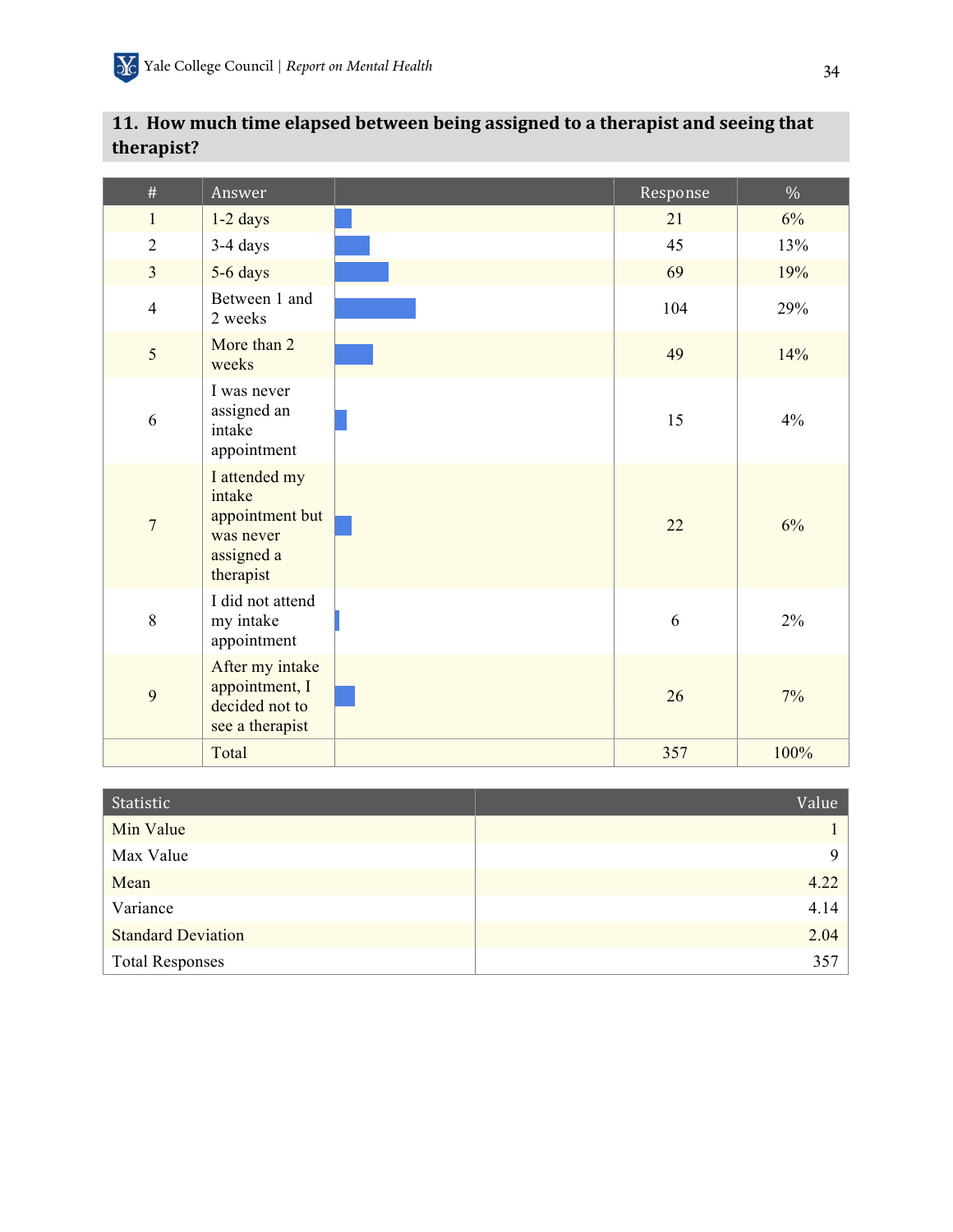| $\#$           | Answer                                                                             | Response | $\%$  |
|----------------|------------------------------------------------------------------------------------|----------|-------|
| $\mathbf{1}$   | $1-2$ days                                                                         | 21       | $6\%$ |
| $\overline{2}$ | 3-4 days                                                                           | 45       | 13%   |
| $\overline{3}$ | 5-6 days                                                                           | 69       | 19%   |
| $\overline{4}$ | Between 1 and<br>2 weeks                                                           | 104      | 29%   |
| 5              | More than 2<br>weeks                                                               | 49       | 14%   |
| 6              | I was never<br>assigned an<br>intake<br>appointment                                | 15       | 4%    |
| $\overline{7}$ | I attended my<br>intake<br>appointment but<br>was never<br>assigned a<br>therapist | 22       | 6%    |
| 8              | I did not attend<br>my intake<br>appointment                                       | 6        | 2%    |
| 9              | After my intake<br>appointment, I<br>decided not to<br>see a therapist             | 26       | $7\%$ |
|                | Total                                                                              | 357      | 100%  |

## 11. How much time elapsed between being assigned to a therapist and seeing that **therapist?**

| Statistic                 | Value |
|---------------------------|-------|
| Min Value                 |       |
| Max Value                 |       |
| Mean                      | 4.22  |
| Variance                  | 4.14  |
| <b>Standard Deviation</b> | 2.04  |
| <b>Total Responses</b>    | 357   |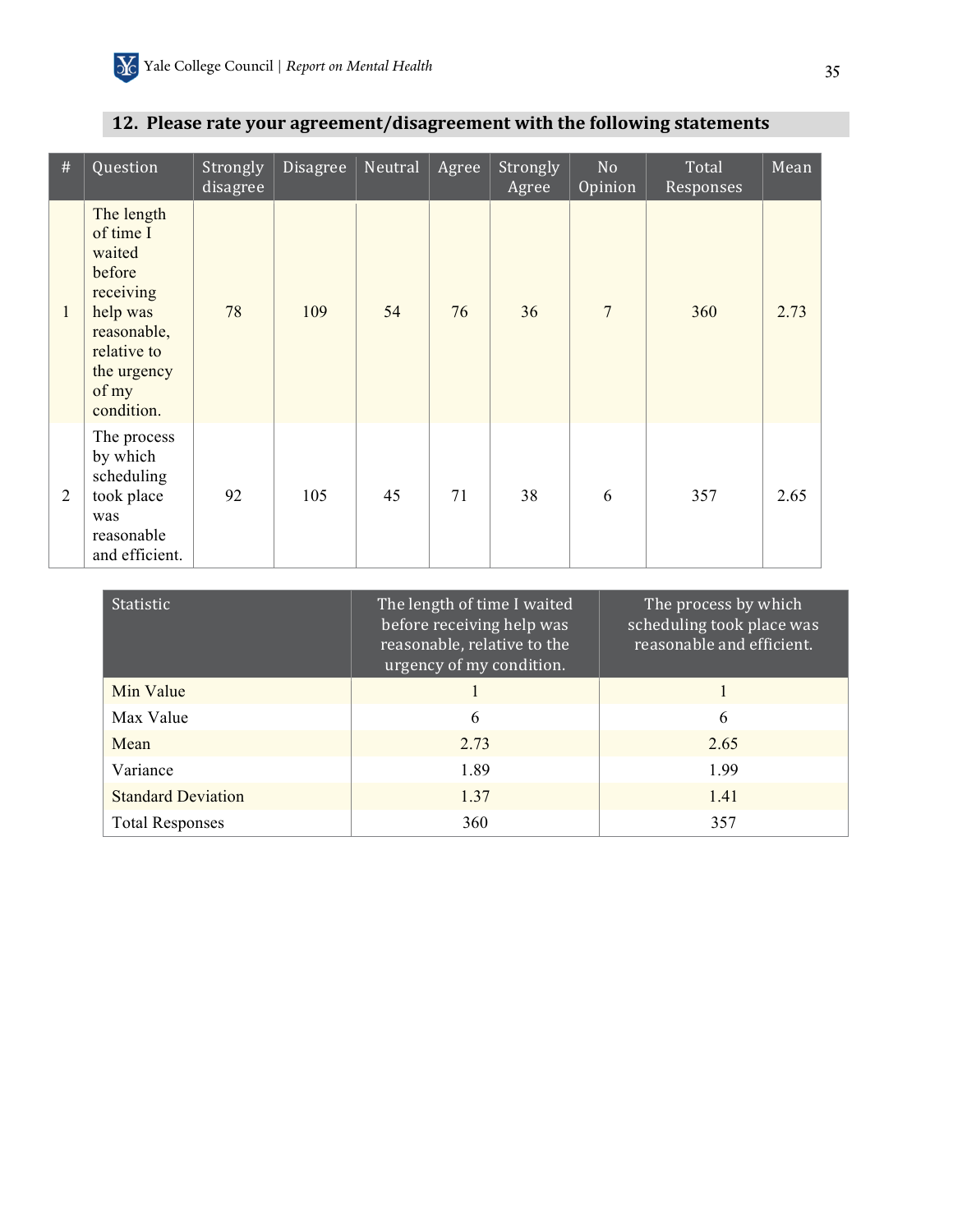| $\#$           | Question                                                                                                                                 | Strongly<br>disagree | Disagree | Neutral | Agree | Strongly<br>Agree | N <sub>o</sub><br>Opinion | Total<br>Responses | Mean |
|----------------|------------------------------------------------------------------------------------------------------------------------------------------|----------------------|----------|---------|-------|-------------------|---------------------------|--------------------|------|
| $\mathbf{1}$   | The length<br>of time I<br>waited<br>before<br>receiving<br>help was<br>reasonable,<br>relative to<br>the urgency<br>of my<br>condition. | 78                   | 109      | 54      | 76    | 36                | $\overline{7}$            | 360                | 2.73 |
| $\overline{2}$ | The process<br>by which<br>scheduling<br>took place<br>was<br>reasonable<br>and efficient.                                               | 92                   | 105      | 45      | 71    | 38                | 6                         | 357                | 2.65 |

## 12. Please rate your agreement/disagreement with the following statements

| <b>Statistic</b>          | The length of time I waited<br>before receiving help was<br>reasonable, relative to the<br>urgency of my condition. | The process by which<br>scheduling took place was<br>reasonable and efficient. |
|---------------------------|---------------------------------------------------------------------------------------------------------------------|--------------------------------------------------------------------------------|
| Min Value                 |                                                                                                                     |                                                                                |
| Max Value                 | 6                                                                                                                   | 6                                                                              |
| Mean                      | 2.73                                                                                                                | 2.65                                                                           |
| Variance                  | 1.89                                                                                                                | 199                                                                            |
| <b>Standard Deviation</b> | 1.37                                                                                                                | 1.41                                                                           |
| <b>Total Responses</b>    | 360                                                                                                                 | 357                                                                            |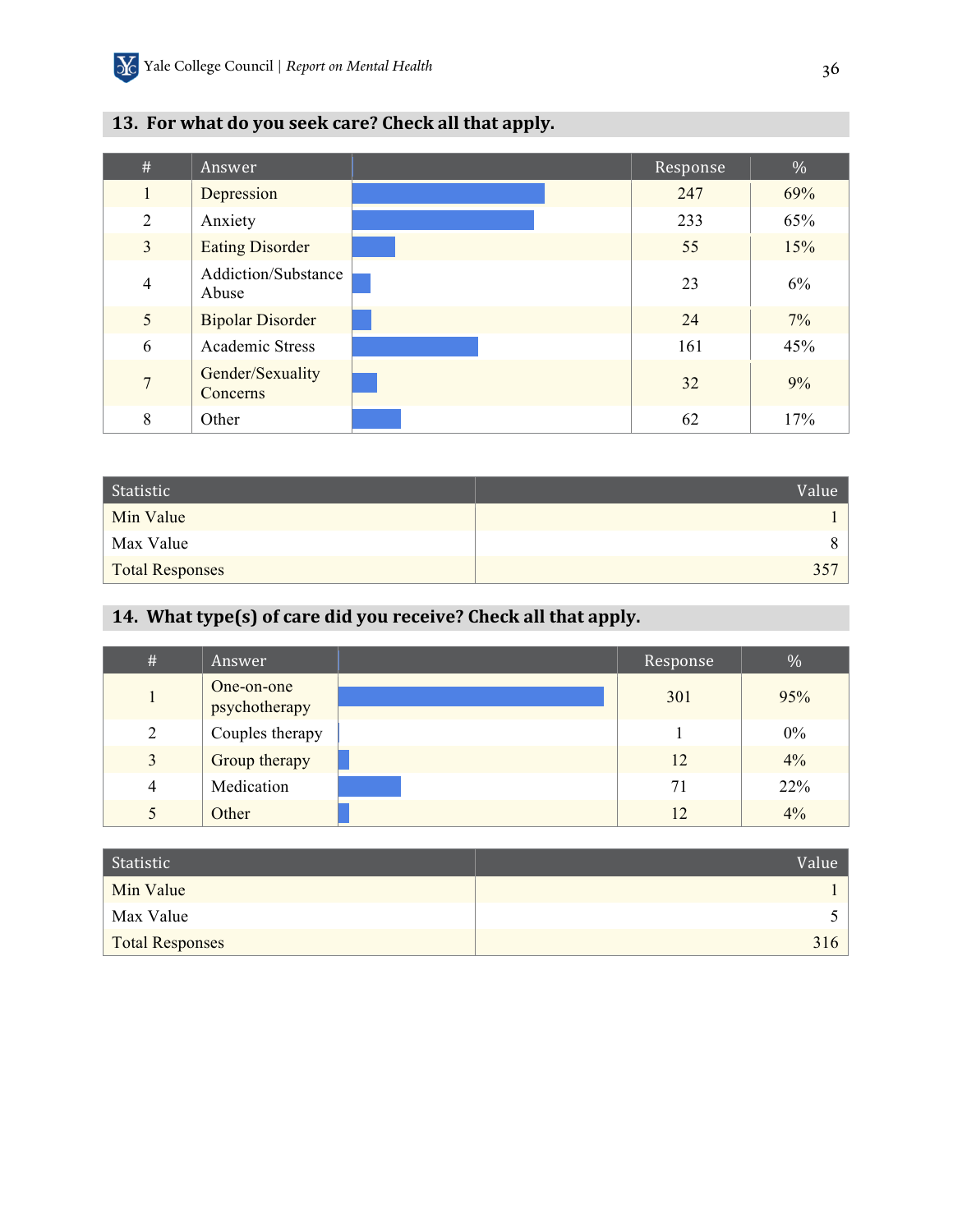| #              | Answer                       | Response | %   |
|----------------|------------------------------|----------|-----|
| 1              | Depression                   | 247      | 69% |
| $\overline{2}$ | Anxiety                      | 233      | 65% |
| $\overline{3}$ | <b>Eating Disorder</b>       | 55       | 15% |
| $\overline{4}$ | Addiction/Substance<br>Abuse | 23       | 6%  |
| 5              | <b>Bipolar Disorder</b>      | 24       | 7%  |
| 6              | Academic Stress              | 161      | 45% |
| $\overline{7}$ | Gender/Sexuality<br>Concerns | 32       | 9%  |
| 8              | Other                        | 62       | 17% |

## 13. For what do you seek care? Check all that apply.

| Statistic       | Value <sup>1</sup> |
|-----------------|--------------------|
| Min Value       |                    |
| Max Value       | 8.                 |
| Total Responses | 357                |

## 14. What type(s) of care did you receive? Check all that apply.

| #              | Answer                      | Response | $\%$  |
|----------------|-----------------------------|----------|-------|
|                | One-on-one<br>psychotherapy | 301      | 95%   |
| 2              | Couples therapy             |          | $0\%$ |
| 3              | Group therapy               | 12       | $4\%$ |
| $\overline{4}$ | Medication                  | 71       | 22%   |
|                | Other                       | 12       | 4%    |

| Statistic              | Value <sup>1</sup> |
|------------------------|--------------------|
| Min Value              |                    |
| Max Value              |                    |
| <b>Total Responses</b> | 316                |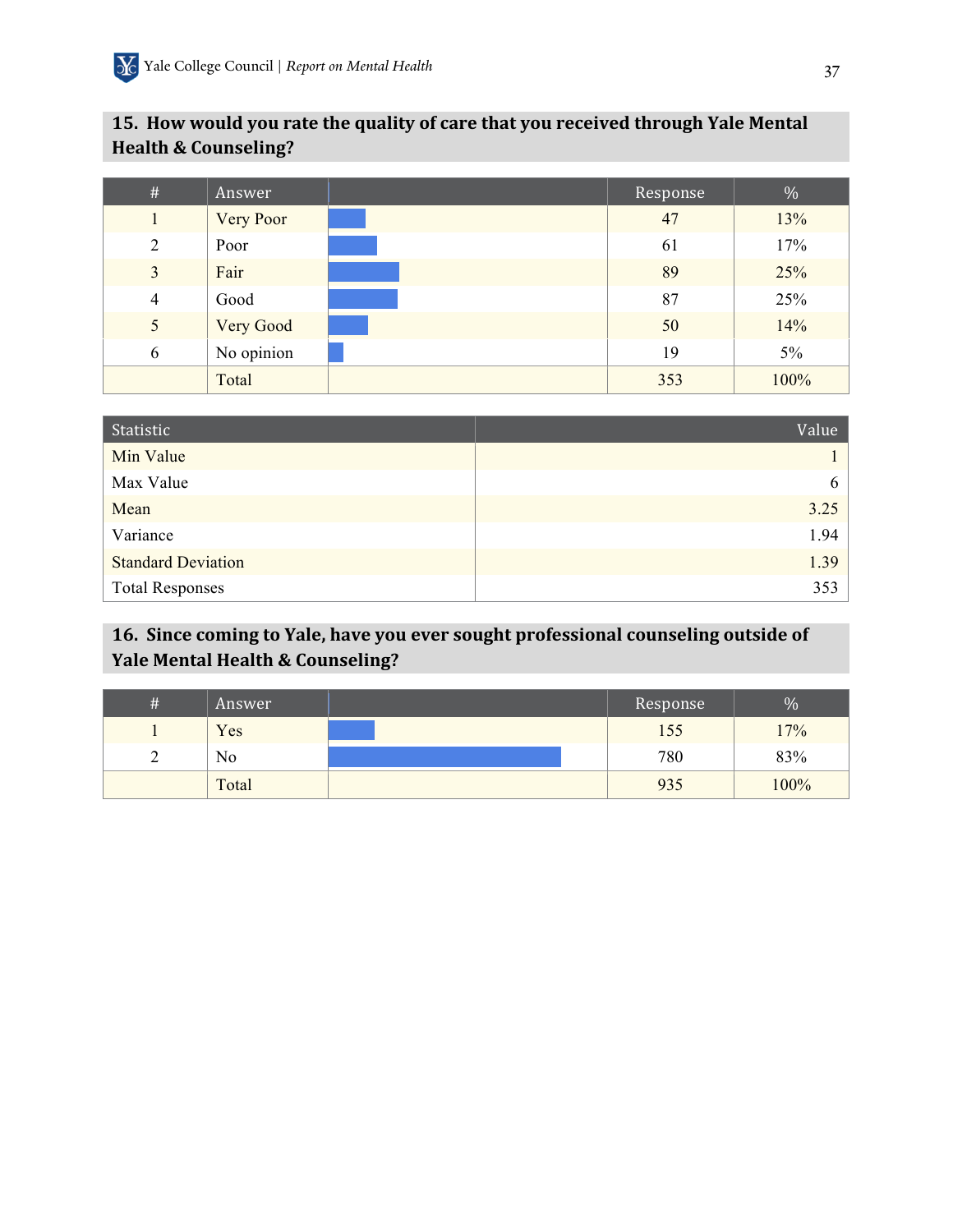## 15. How would you rate the quality of care that you received through Yale Mental **Health & Counseling?**

| $\#$           | Answer           | Response | $\%$  |
|----------------|------------------|----------|-------|
|                | <b>Very Poor</b> | 47       | 13%   |
| $\overline{2}$ | Poor             | 61       | 17%   |
| 3              | Fair             | 89       | 25%   |
| $\overline{4}$ | Good             | 87       | 25%   |
| 5              | Very Good        | 50       | 14%   |
| 6              | No opinion       | 19       | $5\%$ |
|                | Total            | 353      | 100%  |

| Statistic                 | Value |
|---------------------------|-------|
| Min Value                 |       |
| Max Value                 | 6     |
| Mean                      | 3.25  |
| Variance                  | 1.94  |
| <b>Standard Deviation</b> | 1.39  |
| <b>Total Responses</b>    | 353   |

## 16. Since coming to Yale, have you ever sought professional counseling outside of **Yale Mental Health & Counseling?**

| # | Answer | Response | $\%$ |
|---|--------|----------|------|
|   | Yes    | 155      | 17%  |
| ∸ | No     | 780      | 83%  |
|   | Total  | 935      | 100% |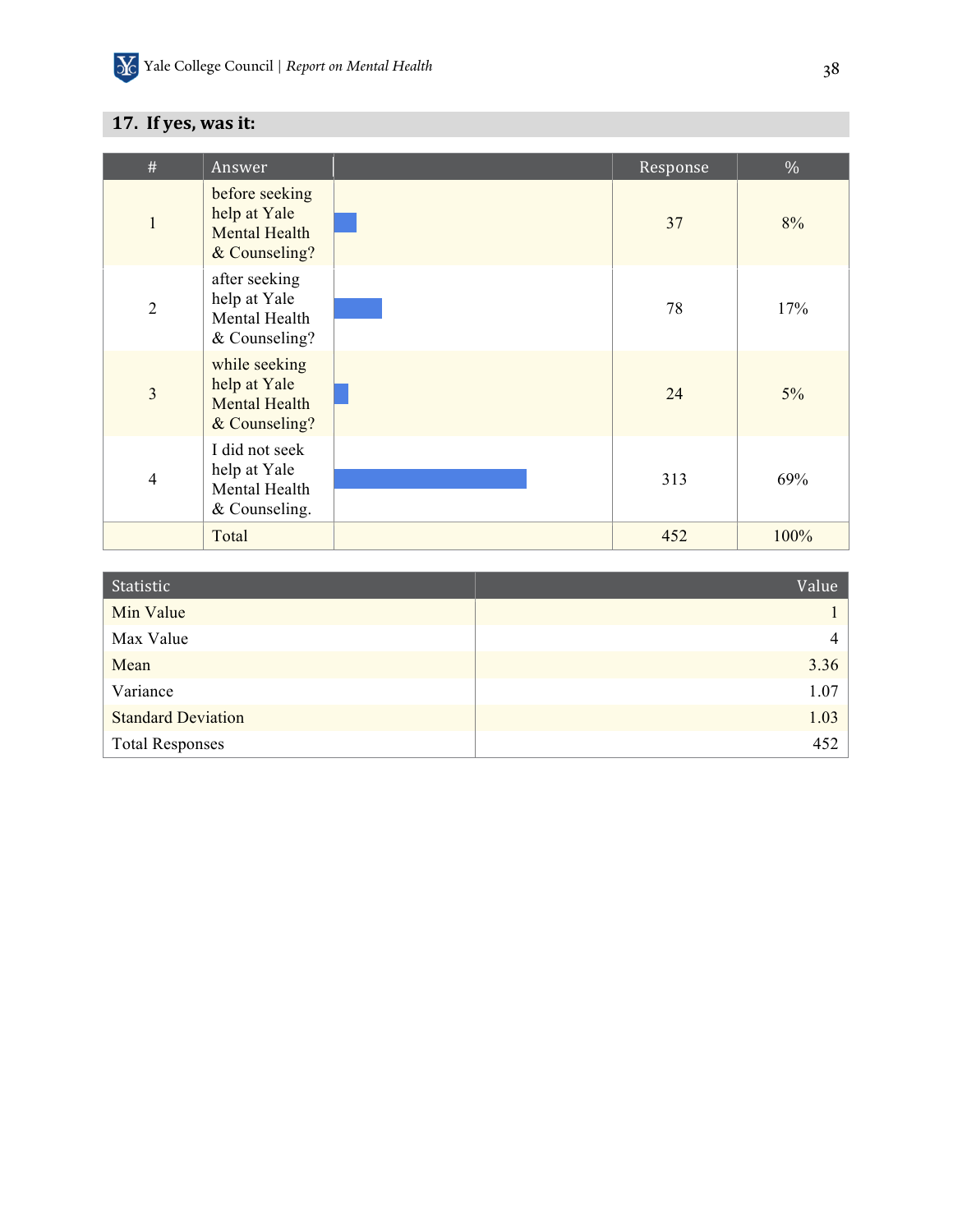## **17.** If yes, was it:

| $\#$           | Answer                                                                  | Response | $\%$  |
|----------------|-------------------------------------------------------------------------|----------|-------|
| $\mathbf{1}$   | before seeking<br>help at Yale<br><b>Mental Health</b><br>& Counseling? | 37       | 8%    |
| $\overline{2}$ | after seeking<br>help at Yale<br>Mental Health<br>& Counseling?         | 78       | 17%   |
| $\overline{3}$ | while seeking<br>help at Yale<br><b>Mental Health</b><br>& Counseling?  | 24       | $5\%$ |
| $\overline{4}$ | I did not seek<br>help at Yale<br>Mental Health<br>& Counseling.        | 313      | 69%   |
|                | Total                                                                   | 452      | 100%  |

| Statistic                 | Value          |
|---------------------------|----------------|
| Min Value                 |                |
| Max Value                 | $\overline{4}$ |
| Mean                      | 3.36           |
| Variance                  | 1.07           |
| <b>Standard Deviation</b> | 1.03           |
| <b>Total Responses</b>    | 452            |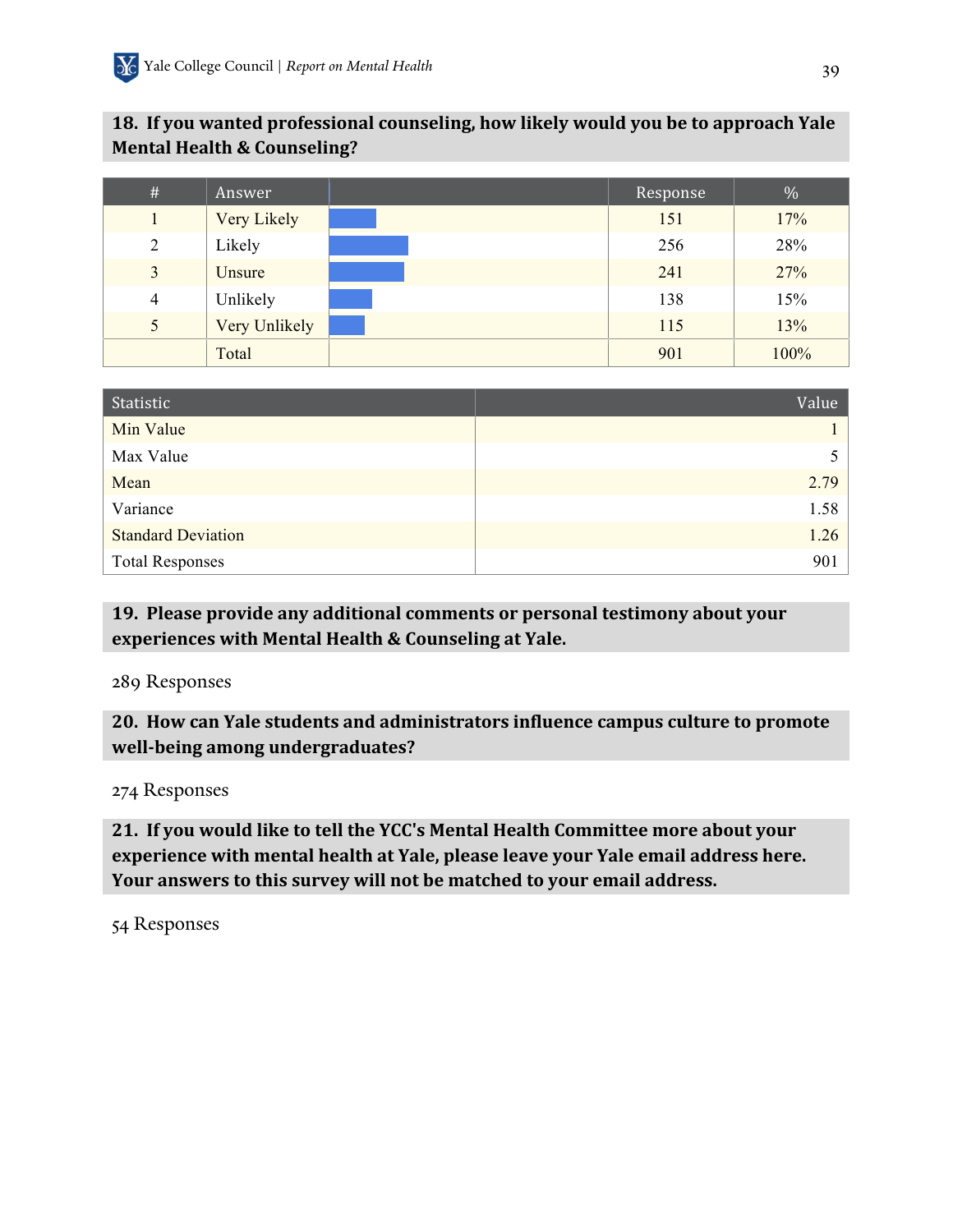## **18. If you wanted professional counseling, how likely would you be to approach Yale Mental Health & Counseling?**

| $\#$           | Answer        | Response | $\%$ |
|----------------|---------------|----------|------|
|                | Very Likely   | 151      | 17%  |
| $\overline{2}$ | Likely        | 256      | 28%  |
| 3              | Unsure        | 241      | 27%  |
| $\overline{4}$ | Unlikely      | 138      | 15%  |
| 5              | Very Unlikely | 115      | 13%  |
|                | Total         | 901      | 100% |

| Statistic                 | Value |
|---------------------------|-------|
| Min Value                 |       |
| Max Value                 |       |
| Mean                      | 2.79  |
| Variance                  | 1.58  |
| <b>Standard Deviation</b> | 1.26  |
| <b>Total Responses</b>    | 901   |

## 19. Please provide any additional comments or personal testimony about your experiences with Mental Health & Counseling at Yale.

### 289 Responses

**20. How can Yale students and administrators influence campus culture to promote** well-being among undergraduates?

274 Responses

**21. If you would like to tell the YCC's Mental Health Committee more about your experience with mental health at Yale, please leave your Yale email address here.** Your answers to this survey will not be matched to your email address.

54 Responses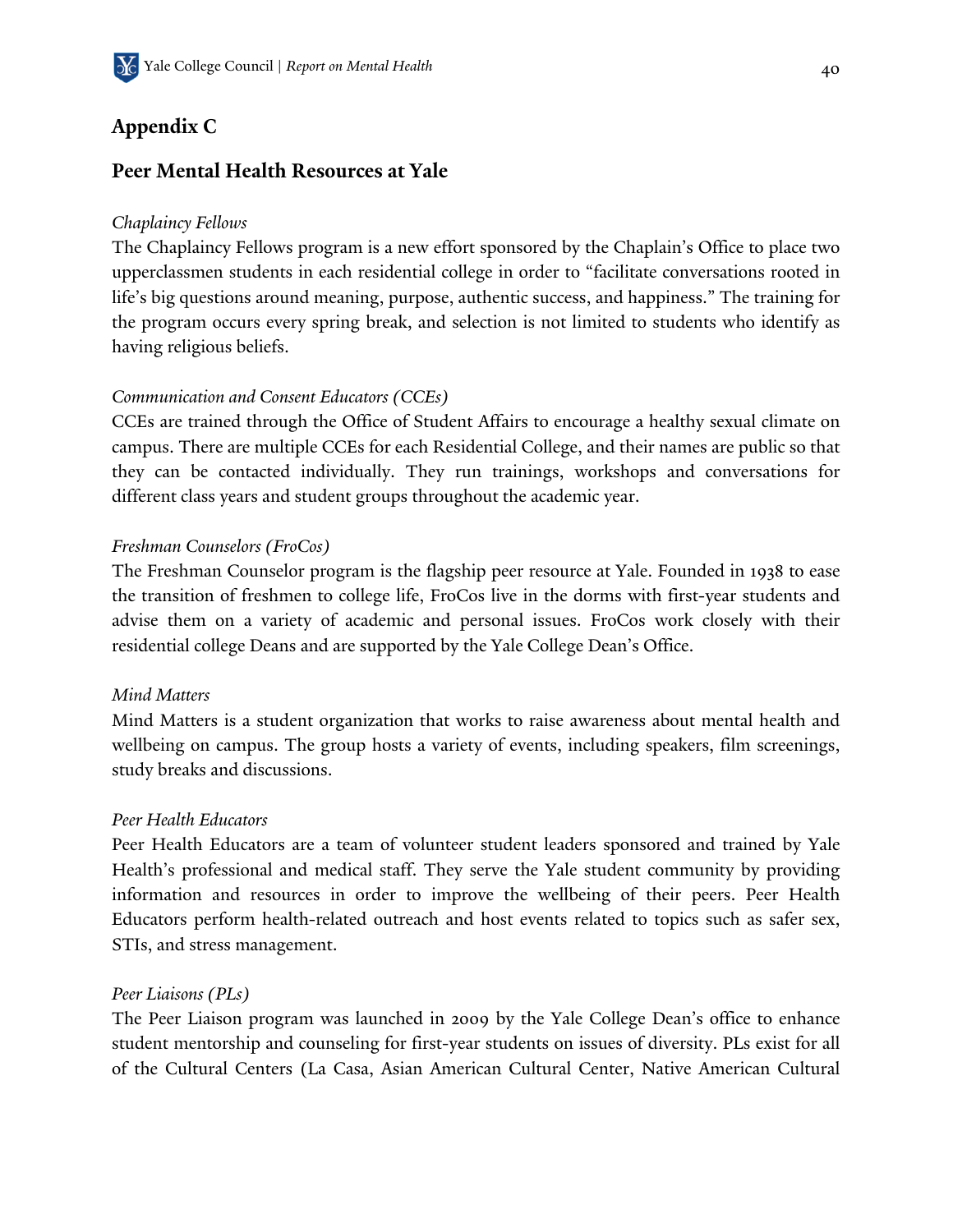## **Appendix C**

## **Peer Mental Health Resources at Yale**

### *Chaplaincy Fellows*

The Chaplaincy Fellows program is a new effort sponsored by the Chaplain's Office to place two upperclassmen students in each residential college in order to "facilitate conversations rooted in life's big questions around meaning, purpose, authentic success, and happiness." The training for the program occurs every spring break, and selection is not limited to students who identify as having religious beliefs.

### *Communication and Consent Educators (CCEs)*

CCEs are trained through the Office of Student Affairs to encourage a healthy sexual climate on campus. There are multiple CCEs for each Residential College, and their names are public so that they can be contacted individually. They run trainings, workshops and conversations for different class years and student groups throughout the academic year.

### *Freshman Counselors (FroCos)*

The Freshman Counselor program is the flagship peer resource at Yale. Founded in 1938 to ease the transition of freshmen to college life, FroCos live in the dorms with first-year students and advise them on a variety of academic and personal issues. FroCos work closely with their residential college Deans and are supported by the Yale College Dean's Office.

#### *Mind Matters*

Mind Matters is a student organization that works to raise awareness about mental health and wellbeing on campus. The group hosts a variety of events, including speakers, film screenings, study breaks and discussions.

#### *Peer Health Educators*

Peer Health Educators are a team of volunteer student leaders sponsored and trained by Yale Health's professional and medical staff. They serve the Yale student community by providing information and resources in order to improve the wellbeing of their peers. Peer Health Educators perform health-related outreach and host events related to topics such as safer sex, STIs, and stress management.

#### *Peer Liaisons (PLs)*

The Peer Liaison program was launched in 2009 by the Yale College Dean's office to enhance student mentorship and counseling for first-year students on issues of diversity. PLs exist for all of the Cultural Centers (La Casa, Asian American Cultural Center, Native American Cultural